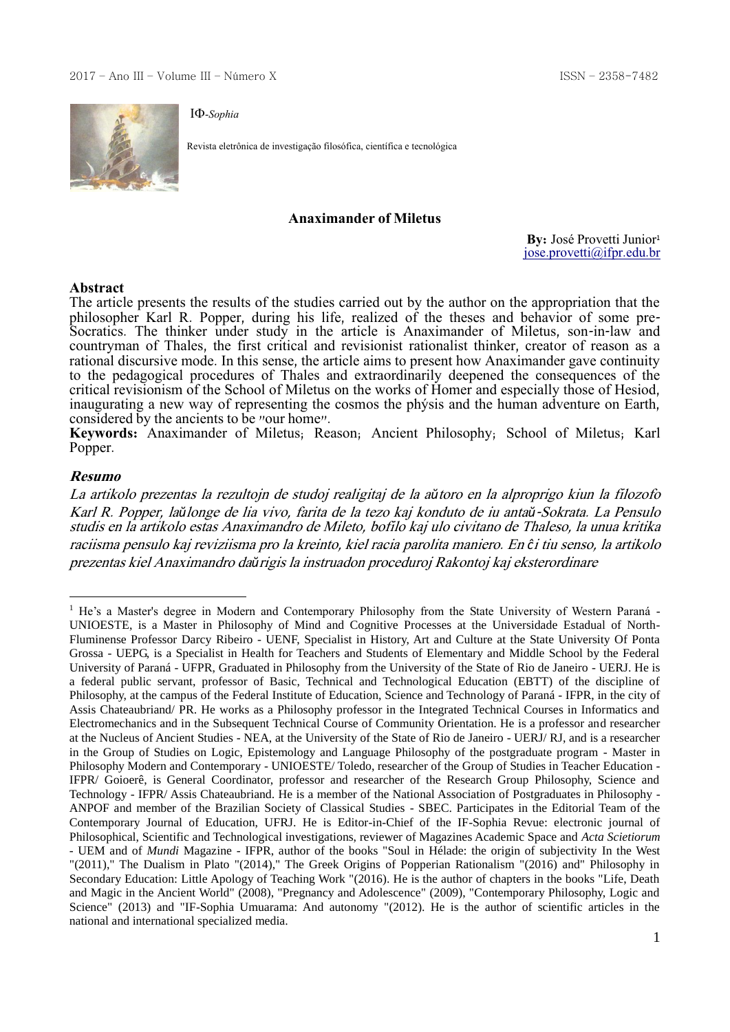

Revista eletrônica de investigação filosófica, científica e tecnológica

#### **Anaximander of Miletus**

**By:** José Provetti Junior<sup>1</sup> [jose.provetti@ifpr.edu.br](mailto:jose.provetti@ifpr.edu.br)

#### **Abstract**

The article presents the results of the studies carried out by the author on the appropriation that the philosopher Karl R. Popper, during his life, realized of the theses and behavior of some pre-Socratics. The thinker under study in the article is Anaximander of Miletus, son-in-law and countryman of Thales, the first critical and revisionist rationalist thinker, creator of reason as a rational discursive mode. In this sense, the article aims to present how Anaximander gave continuity to the pedagogical procedures of Thales and extraordinarily deepened the consequences of the critical revisionism of the School of Miletus on the works of Homer and especially those of Hesiod, inaugurating a new way of representing the cosmos the phýsis and the human adventure on Earth, considered by the ancients to be "our home".

**Keywords:** Anaximander of Miletus; Reason; Ancient Philosophy; School of Miletus; Karl Popper.

### **Resumo**

1

La artikolo prezentas la rezultojn de studoj realigitaj de la a*ŭ*toro en la alproprigo kiun la filozofo Karl R. Popper, la*ŭ*longe de lia vivo, farita de la tezo kaj konduto de iu anta*ŭ*-Sokrata. La Pensulo studis en la artikolo estas Anaximandro de Mileto, bofilo kaj ulo civitano de Thaleso, la unua kritika raciisma pensulo kaj reviziisma pro la kreinto, kiel racia parolita maniero. En *ĉ*i tiu senso, la artikolo prezentas kiel Anaximandro da*ŭ*rigis la instruadon proceduroj Rakontoj kaj eksterordinare

<sup>&</sup>lt;sup>1</sup> He's a Master's degree in Modern and Contemporary Philosophy from the State University of Western Paraná -UNIOESTE, is a Master in Philosophy of Mind and Cognitive Processes at the Universidade Estadual of North-Fluminense Professor Darcy Ribeiro - UENF, Specialist in History, Art and Culture at the State University Of Ponta Grossa - UEPG, is a Specialist in Health for Teachers and Students of Elementary and Middle School by the Federal University of Paraná - UFPR, Graduated in Philosophy from the University of the State of Rio de Janeiro - UERJ. He is a federal public servant, professor of Basic, Technical and Technological Education (EBTT) of the discipline of Philosophy, at the campus of the Federal Institute of Education, Science and Technology of Paraná - IFPR, in the city of Assis Chateaubriand/ PR. He works as a Philosophy professor in the Integrated Technical Courses in Informatics and Electromechanics and in the Subsequent Technical Course of Community Orientation. He is a professor and researcher at the Nucleus of Ancient Studies - NEA, at the University of the State of Rio de Janeiro - UERJ/ RJ, and is a researcher in the Group of Studies on Logic, Epistemology and Language Philosophy of the postgraduate program - Master in Philosophy Modern and Contemporary - UNIOESTE/ Toledo, researcher of the Group of Studies in Teacher Education - IFPR/ Goioerê, is General Coordinator, professor and researcher of the Research Group Philosophy, Science and Technology - IFPR/ Assis Chateaubriand. He is a member of the National Association of Postgraduates in Philosophy - ANPOF and member of the Brazilian Society of Classical Studies - SBEC. Participates in the Editorial Team of the Contemporary Journal of Education, UFRJ. He is Editor-in-Chief of the IF-Sophia Revue: electronic journal of Philosophical, Scientific and Technological investigations, reviewer of Magazines Academic Space and *Acta Scietiorum* - UEM and of *Mundi* Magazine - IFPR, author of the books "Soul in Hélade: the origin of subjectivity In the West "(2011)," The Dualism in Plato "(2014)," The Greek Origins of Popperian Rationalism "(2016) and" Philosophy in Secondary Education: Little Apology of Teaching Work "(2016). He is the author of chapters in the books "Life, Death and Magic in the Ancient World" (2008), "Pregnancy and Adolescence" (2009), "Contemporary Philosophy, Logic and Science" (2013) and "IF-Sophia Umuarama: And autonomy "(2012). He is the author of scientific articles in the national and international specialized media.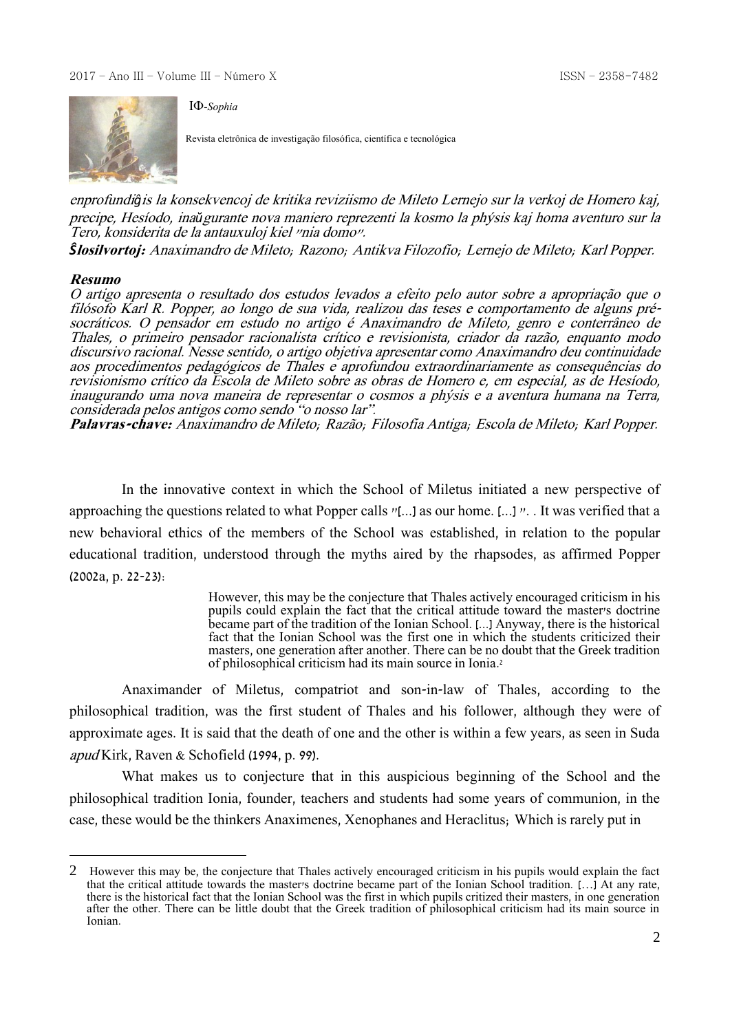

Revista eletrônica de investigação filosófica, científica e tecnológica

enprofundi*ĝ*is la konsekvencoj de kritika reviziismo de Mileto Lernejo sur la verkoj de Homero kaj, precipe, Hesíodo, ina*ŭ*gurante nova maniero reprezenti la kosmo la phýsis kaj homa aventuro sur la Tero, konsiderita de la antauxuloj kiel "nia domo".

*Ŝ***losilvortoj:** Anaximandro de Mileto; Razono; Antikva Filozofio; Lernejo de Mileto; Karl Popper.

#### **Resumo**

<u>.</u>

O artigo apresenta o resultado dos estudos levados a efeito pelo autor sobre a apropriação que o filósofo Karl R. Popper, ao longo de sua vida, realizou das teses e comportamento de alguns présocráticos. O pensador em estudo no artigo é Anaximandro de Mileto, genro e conterrâneo de Thales, o primeiro pensador racionalista crítico e revisionista, criador da razão, enquanto modo discursivo racional. Nesse sentido, o artigo objetiva apresentar como Anaximandro deu continuidade aos procedimentos pedagógicos de Thales e aprofundou extraordinariamente as consequências do revisionismo crítico da Escola de Mileto sobre as obras de Homero e, em especial, as de Hesíodo, inaugurando uma nova maneira de representar o cosmos a phýsis e a aventura humana na Terra, considerada pelos antigos como sendo "o nosso lar".

**Palavras-chave:** Anaximandro de Mileto; Razão; Filosofia Antiga; Escola de Mileto; Karl Popper.

In the innovative context in which the School of Miletus initiated a new perspective of approaching the questions related to what Popper calls "[...] as our home. [...] ". . It was verified that a new behavioral ethics of the members of the School was established, in relation to the popular educational tradition, understood through the myths aired by the rhapsodes, as affirmed Popper (2002a, p. 22-23):

> However, this may be the conjecture that Thales actively encouraged criticism in his pupils could explain the fact that the critical attitude toward the master's doctrine became part of the tradition of the Ionian School. [...] Anyway, there is the historical fact that the Ionian School was the first one in which the students criticized their masters, one generation after another. There can be no doubt that the Greek tradition of philosophical criticism had its main source in Ionia. 2

Anaximander of Miletus, compatriot and son-in-law of Thales, according to the philosophical tradition, was the first student of Thales and his follower, although they were of approximate ages. It is said that the death of one and the other is within a few years, as seen in Suda apud Kirk, Raven & Schofield (1994, p. 99).

What makes us to conjecture that in this auspicious beginning of the School and the philosophical tradition Ionia, founder, teachers and students had some years of communion, in the case, these would be the thinkers Anaximenes, Xenophanes and Heraclitus; Which is rarely put in

<sup>2</sup> However this may be, the conjecture that Thales actively encouraged criticism in his pupils would explain the fact that the critical attitude towards the master's doctrine became part of the Ionian School tradition. […] At any rate, there is the historical fact that the Ionian School was the first in which pupils critized their masters, in one generation after the other. There can be little doubt that the Greek tradition of philosophical criticism had its main source in Ionian.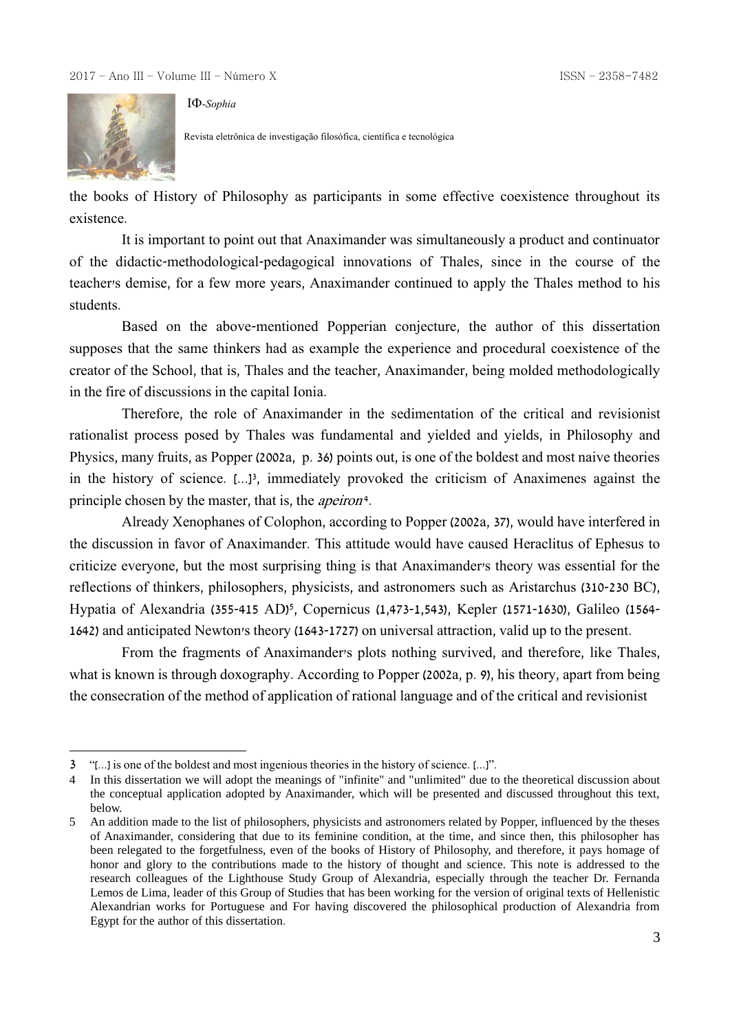

1

-*Sophia*

Revista eletrônica de investigação filosófica, científica e tecnológica

the books of History of Philosophy as participants in some effective coexistence throughout its existence.

It is important to point out that Anaximander was simultaneously a product and continuator of the didactic-methodological-pedagogical innovations of Thales, since in the course of the teacher's demise, for a few more years, Anaximander continued to apply the Thales method to his students.

Based on the above-mentioned Popperian conjecture, the author of this dissertation supposes that the same thinkers had as example the experience and procedural coexistence of the creator of the School, that is, Thales and the teacher, Anaximander, being molded methodologically in the fire of discussions in the capital Ionia.

Therefore, the role of Anaximander in the sedimentation of the critical and revisionist rationalist process posed by Thales was fundamental and yielded and yields, in Philosophy and Physics, many fruits, as Popper (2002a, p. 36) points out, is one of the boldest and most naive theories in the history of science. [...]<sup>3</sup> , immediately provoked the criticism of Anaximenes against the principle chosen by the master, that is, the *apeiron*<sup>4</sup>.

Already Xenophanes of Colophon, according to Popper (2002a, 37), would have interfered in the discussion in favor of Anaximander. This attitude would have caused Heraclitus of Ephesus to criticize everyone, but the most surprising thing is that Anaximander's theory was essential for the reflections of thinkers, philosophers, physicists, and astronomers such as Aristarchus (310-230 BC), Hypatia of Alexandria (355-415 AD)<sup>5</sup> , Copernicus (1,473-1,543), Kepler (1571-1630), Galileo (1564- 1642) and anticipated Newton's theory (1643-1727) on universal attraction, valid up to the present.

From the fragments of Anaximander's plots nothing survived, and therefore, like Thales, what is known is through doxography. According to Popper (2002a, p. 9), his theory, apart from being the consecration of the method of application of rational language and of the critical and revisionist

<sup>3</sup> "[...] is one of the boldest and most ingenious theories in the history of science. [...]".

<sup>4</sup> In this dissertation we will adopt the meanings of "infinite" and "unlimited" due to the theoretical discussion about the conceptual application adopted by Anaximander, which will be presented and discussed throughout this text, below.

<sup>5</sup> An addition made to the list of philosophers, physicists and astronomers related by Popper, influenced by the theses of Anaximander, considering that due to its feminine condition, at the time, and since then, this philosopher has been relegated to the forgetfulness, even of the books of History of Philosophy, and therefore, it pays homage of honor and glory to the contributions made to the history of thought and science. This note is addressed to the research colleagues of the Lighthouse Study Group of Alexandria, especially through the teacher Dr. Fernanda Lemos de Lima, leader of this Group of Studies that has been working for the version of original texts of Hellenistic Alexandrian works for Portuguese and For having discovered the philosophical production of Alexandria from Egypt for the author of this dissertation.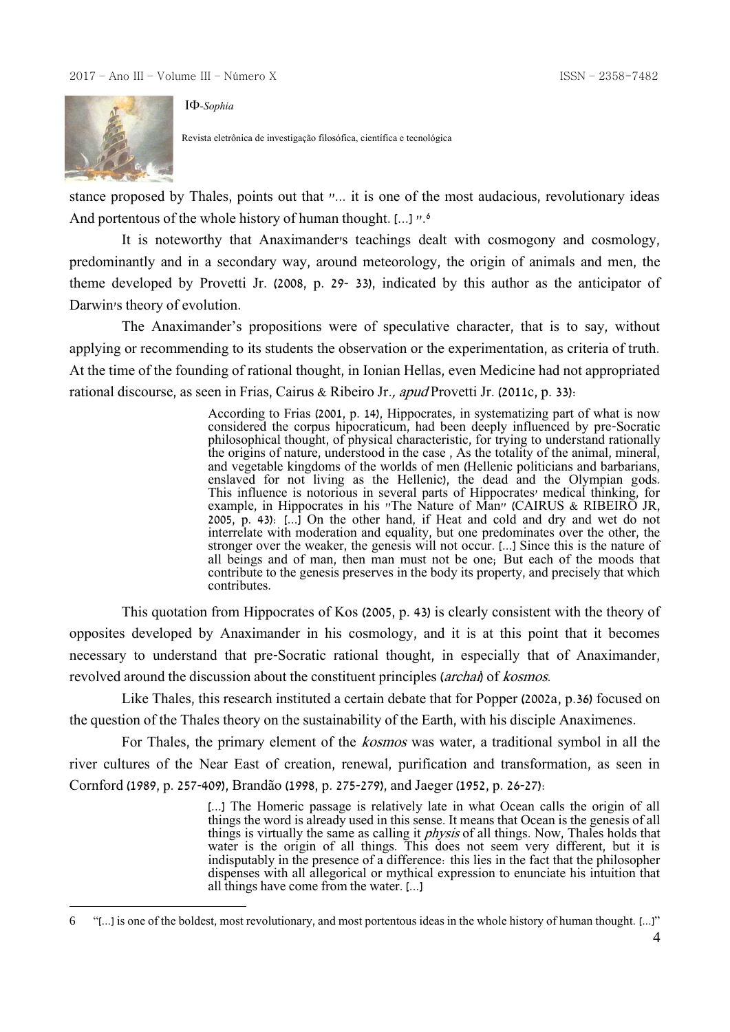

<u>.</u>

-*Sophia*

Revista eletrônica de investigação filosófica, científica e tecnológica

stance proposed by Thales, points out that "... it is one of the most audacious, revolutionary ideas And portentous of the whole history of human thought. [...] ".<sup>6</sup>

It is noteworthy that Anaximander's teachings dealt with cosmogony and cosmology, predominantly and in a secondary way, around meteorology, the origin of animals and men, the theme developed by Provetti Jr. (2008, p. 29- 33), indicated by this author as the anticipator of Darwin's theory of evolution.

The Anaximander's propositions were of speculative character, that is to say, without applying or recommending to its students the observation or the experimentation, as criteria of truth. At the time of the founding of rational thought, in Ionian Hellas, even Medicine had not appropriated rational discourse, as seen in Frias, Cairus & Ribeiro Jr., apud Provetti Jr. (2011c, p. 33):

> According to Frias (2001, p. 14), Hippocrates, in systematizing part of what is now considered the corpus hipocraticum, had been deeply influenced by pre-Socratic philosophical thought, of physical characteristic, for trying to understand rationally the origins of nature, understood in the case, As the totality of the animal, mineral, and vegetable kingdoms of the worlds of men (Hellenic politicians and barbarians, enslaved for not living as the Hellenic), the dead and the Olympian gods. This influence is notorious in several parts of Hippocrates' medical thinking, for example, in Hippocrates in his "The Nature of Man" (CAIRUS & RIBEIRO JR, 2005, p. 43): [...] On the other hand, if Heat and cold and dry and wet do not interrelate with moderation and equality, but one predominates over the other, the stronger over the weaker, the genesis will not occur. [...] Since this is the nature of all beings and of man, then man must not be one; But each of the moods that contribute to the genesis preserves in the body its property, and precisely that which contributes.

This quotation from Hippocrates of Kos (2005, p. 43) is clearly consistent with the theory of opposites developed by Anaximander in his cosmology, and it is at this point that it becomes necessary to understand that pre-Socratic rational thought, in especially that of Anaximander, revolved around the discussion about the constituent principles (archai) of kosmos.

Like Thales, this research instituted a certain debate that for Popper (2002a, p.36) focused on the question of the Thales theory on the sustainability of the Earth, with his disciple Anaximenes.

For Thales, the primary element of the *kosmos* was water, a traditional symbol in all the river cultures of the Near East of creation, renewal, purification and transformation, as seen in Cornford (1989, p. 257-409), Brandão (1998, p. 275-279), and Jaeger (1952, p. 26-27):

> [...] The Homeric passage is relatively late in what Ocean calls the origin of all things the word is already used in this sense. It means that Ocean is the genesis of all things is virtually the same as calling it *physis* of all things. Now, Thales holds that water is the origin of all things. This does not seem very different, but it is indisputably in the presence of a difference: this lies in the fact that the philosopher dispenses with all allegorical or mythical expression to enunciate his intuition that all things have come from the water. [...]

<sup>6</sup> "[...] is one of the boldest, most revolutionary, and most portentous ideas in the whole history of human thought. [...]"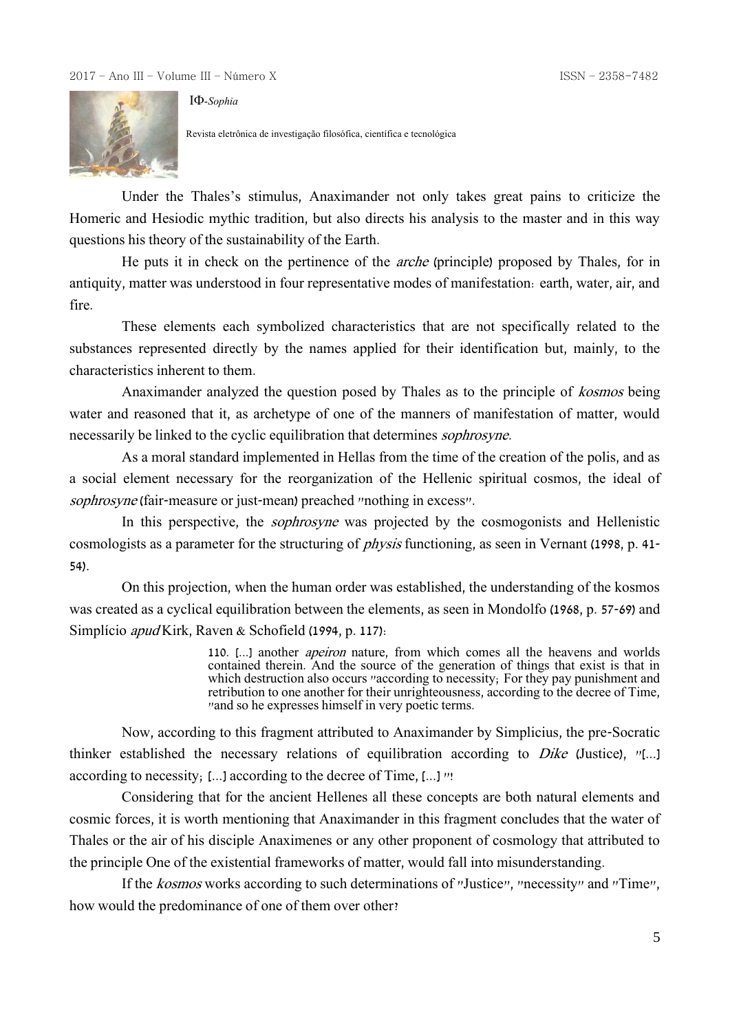

-*Sophia*

Revista eletrônica de investigação filosófica, científica e tecnológica

Under the Thales's stimulus, Anaximander not only takes great pains to criticize the Homeric and Hesiodic mythic tradition, but also directs his analysis to the master and in this way questions his theory of the sustainability of the Earth.

He puts it in check on the pertinence of the arche (principle) proposed by Thales, for in antiquity, matter was understood in four representative modes of manifestation: earth, water, air, and fire.

These elements each symbolized characteristics that are not specifically related to the substances represented directly by the names applied for their identification but, mainly, to the characteristics inherent to them.

Anaximander analyzed the question posed by Thales as to the principle of kosmos being water and reasoned that it, as archetype of one of the manners of manifestation of matter, would necessarily be linked to the cyclic equilibration that determines sophrosyne.

As a moral standard implemented in Hellas from the time of the creation of the polis, and as a social element necessary for the reorganization of the Hellenic spiritual cosmos, the ideal of sophrosyne (fair-measure or just-mean) preached "nothing in excess".

In this perspective, the *sophrosyne* was projected by the cosmogonists and Hellenistic cosmologists as a parameter for the structuring of physis functioning, as seen in Vernant (1998, p. 41- 54).

On this projection, when the human order was established, the understanding of the kosmos was created as a cyclical equilibration between the elements, as seen in Mondolfo (1968, p. 57-69) and Simplício apud Kirk, Raven & Schofield (1994, p. 117):

> 110. [...] another apeiron nature, from which comes all the heavens and worlds contained therein. And the source of the generation of things that exist is that in which destruction also occurs "according to necessity; For they pay punishment and retribution to one another for their unrighteousness, according to the decree of Time, "and so he expresses himself in very poetic terms.

Now, according to this fragment attributed to Anaximander by Simplicius, the pre-Socratic thinker established the necessary relations of equilibration according to Dike (Justice), "[...] according to necessity; [...] according to the decree of Time, [...] "!

Considering that for the ancient Hellenes all these concepts are both natural elements and cosmic forces, it is worth mentioning that Anaximander in this fragment concludes that the water of Thales or the air of his disciple Anaximenes or any other proponent of cosmology that attributed to the principle One of the existential frameworks of matter, would fall into misunderstanding.

If the kosmos works according to such determinations of "Justice", "necessity" and "Time", how would the predominance of one of them over other?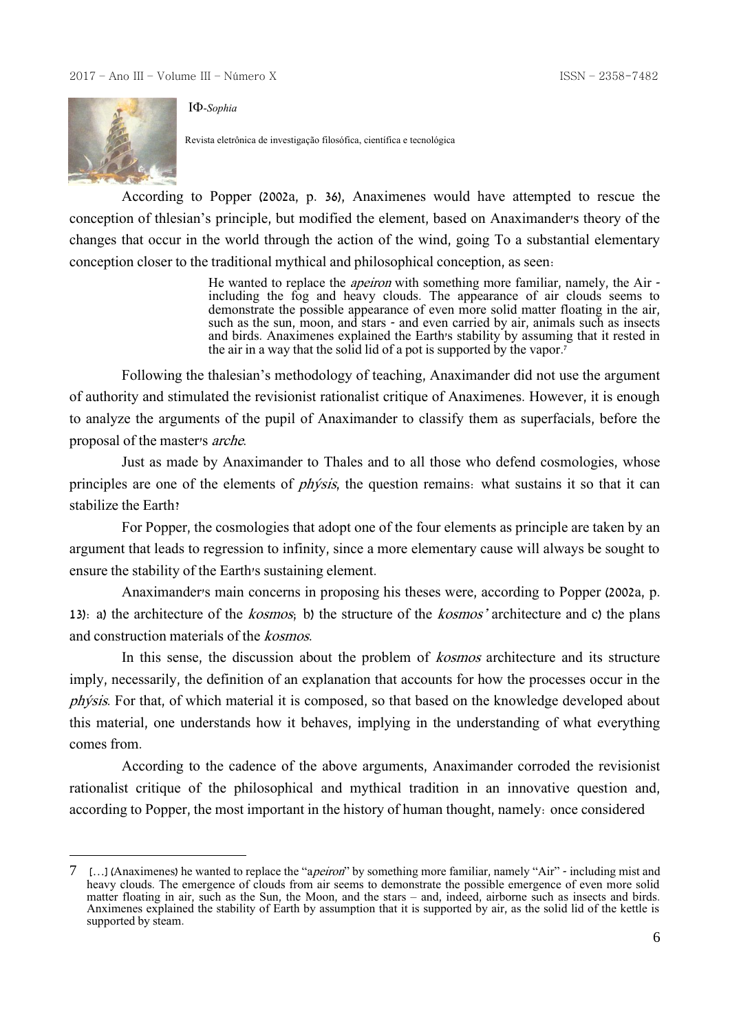

<u>.</u>

-*Sophia*

Revista eletrônica de investigação filosófica, científica e tecnológica

According to Popper (2002a, p. 36), Anaximenes would have attempted to rescue the conception of thlesian's principle, but modified the element, based on Anaximander's theory of the changes that occur in the world through the action of the wind, going To a substantial elementary conception closer to the traditional mythical and philosophical conception, as seen:

> He wanted to replace the *apeiron* with something more familiar, namely, the Air including the fog and heavy clouds. The appearance of air clouds seems to demonstrate the possible appearance of even more solid matter floating in the air, such as the sun, moon, and stars - and even carried by air, animals such as insects and birds. Anaximenes explained the Earth's stability by assuming that it rested in the air in a way that the solid lid of a pot is supported by the vapor. 7

Following the thalesian's methodology of teaching, Anaximander did not use the argument of authority and stimulated the revisionist rationalist critique of Anaximenes. However, it is enough to analyze the arguments of the pupil of Anaximander to classify them as superfacials, before the proposal of the master's arche.

Just as made by Anaximander to Thales and to all those who defend cosmologies, whose principles are one of the elements of *physis*, the question remains: what sustains it so that it can stabilize the Earth?

For Popper, the cosmologies that adopt one of the four elements as principle are taken by an argument that leads to regression to infinity, since a more elementary cause will always be sought to ensure the stability of the Earth's sustaining element.

Anaximander's main concerns in proposing his theses were, according to Popper (2002a, p. 13): a) the architecture of the kosmos; b) the structure of the kosmos' architecture and c) the plans and construction materials of the kosmos.

In this sense, the discussion about the problem of *kosmos* architecture and its structure imply, necessarily, the definition of an explanation that accounts for how the processes occur in the phýsis. For that, of which material it is composed, so that based on the knowledge developed about this material, one understands how it behaves, implying in the understanding of what everything comes from.

According to the cadence of the above arguments, Anaximander corroded the revisionist rationalist critique of the philosophical and mythical tradition in an innovative question and, according to Popper, the most important in the history of human thought, namely: once considered

<sup>7</sup> […] (Anaximenes) he wanted to replace the "apeiron" by something more familiar, namely "Air" - including mist and heavy clouds. The emergence of clouds from air seems to demonstrate the possible emergence of even more solid matter floating in air, such as the Sun, the Moon, and the stars – and, indeed, airborne such as insects and birds. Anximenes explained the stability of Earth by assumption that it is supported by air, as the solid lid of the kettle is supported by steam.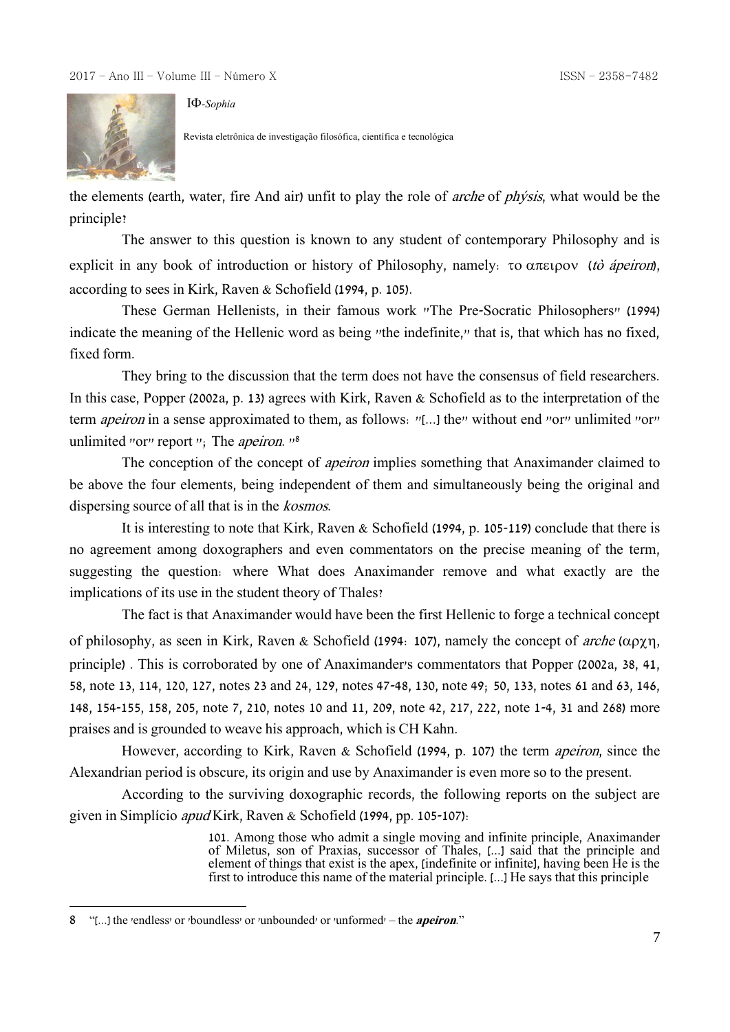

-*Sophia*

Revista eletrônica de investigação filosófica, científica e tecnológica

the elements (earth, water, fire And air) unfit to play the role of arche of phýsis, what would be the principle?

The answer to this question is known to any student of contemporary Philosophy and is explicit in any book of introduction or history of Philosophy, namely:  $\tau$ o  $\alpha \pi \epsilon$ ipov (tò ápeiron), according to sees in Kirk, Raven & Schofield (1994, p. 105).

These German Hellenists, in their famous work "The Pre-Socratic Philosophers" (1994) indicate the meaning of the Hellenic word as being "the indefinite," that is, that which has no fixed, fixed form.

They bring to the discussion that the term does not have the consensus of field researchers. In this case, Popper (2002a, p. 13) agrees with Kirk, Raven & Schofield as to the interpretation of the term *apeiron* in a sense approximated to them, as follows: "[...] the" without end "or" unlimited "or" unlimited "or" report "; The *apeiron*. "<sup>8</sup>

The conception of the concept of *apeiron* implies something that Anaximander claimed to be above the four elements, being independent of them and simultaneously being the original and dispersing source of all that is in the kosmos.

It is interesting to note that Kirk, Raven & Schofield (1994, p. 105-119) conclude that there is no agreement among doxographers and even commentators on the precise meaning of the term, suggesting the question: where What does Anaximander remove and what exactly are the implications of its use in the student theory of Thales?

The fact is that Anaximander would have been the first Hellenic to forge a technical concept of philosophy, as seen in Kirk, Raven & Schofield (1994: 107), namely the concept of *arche* ( $\alpha \rho \gamma \eta$ , principle) . This is corroborated by one of Anaximander's commentators that Popper (2002a, 38, 41, 58, note 13, 114, 120, 127, notes 23 and 24, 129, notes 47-48, 130, note 49; 50, 133, notes 61 and 63, 146, 148, 154-155, 158, 205, note 7, 210, notes 10 and 11, 209, note 42, 217, 222, note 1-4, 31 and 268) more praises and is grounded to weave his approach, which is CH Kahn.

However, according to Kirk, Raven & Schofield (1994, p. 107) the term apeiron, since the Alexandrian period is obscure, its origin and use by Anaximander is even more so to the present.

According to the surviving doxographic records, the following reports on the subject are given in Simplício apud Kirk, Raven & Schofield (1994, pp. 105-107):

> 101. Among those who admit a single moving and infinite principle, Anaximander of Miletus, son of Praxias, successor of Thales, [...] said that the principle and element of things that exist is the apex, [indefinite or infinite], having been He is the first to introduce this name of the material principle. [...] He says that this principle

<u>.</u>

<sup>8</sup> "[...] the 'endless' or 'boundless' or 'unbounded' or 'unformed' – the **apeiron**."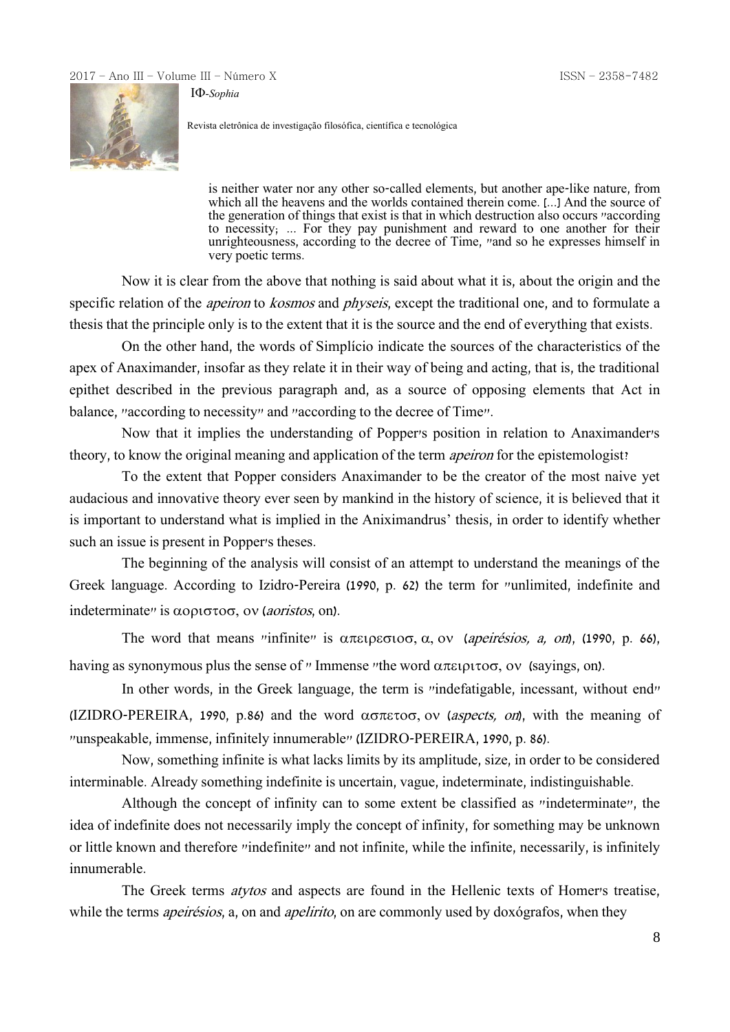-*Sophia*



Revista eletrônica de investigação filosófica, científica e tecnológica

is neither water nor any other so-called elements, but another ape-like nature, from which all the heavens and the worlds contained therein come. [...] And the source of the generation of things that exist is that in which destruction also occurs "according" to necessity; ... For they pay punishment and reward to one another for their unrighteousness, according to the decree of Time, "and so he expresses himself in very poetic terms.

Now it is clear from the above that nothing is said about what it is, about the origin and the specific relation of the *apeiron* to *kosmos* and *physeis*, except the traditional one, and to formulate a thesis that the principle only is to the extent that it is the source and the end of everything that exists.

On the other hand, the words of Simplício indicate the sources of the characteristics of the apex of Anaximander, insofar as they relate it in their way of being and acting, that is, the traditional epithet described in the previous paragraph and, as a source of opposing elements that Act in balance, "according to necessity" and "according to the decree of Time".

Now that it implies the understanding of Popper's position in relation to Anaximander's theory, to know the original meaning and application of the term apeiron for the epistemologist?

To the extent that Popper considers Anaximander to be the creator of the most naive yet audacious and innovative theory ever seen by mankind in the history of science, it is believed that it is important to understand what is implied in the Aniximandrus' thesis, in order to identify whether such an issue is present in Popper's theses.

The beginning of the analysis will consist of an attempt to understand the meanings of the Greek language. According to Izidro-Pereira (1990, p. 62) the term for "unlimited, indefinite and indeterminate" is  $\alpha$ opt $\sigma$ , ov (*aoristos*, on).

The word that means "infinite" is  $\alpha \pi \epsilon_1 \rho \epsilon_0 \sigma_1 \alpha$ , ov (apeirésios, a, on), (1990, p. 66), having as synonymous plus the sense of " Immense "the word  $\alpha \pi \epsilon \rho \tau \sigma$ , ov (sayings, on).

In other words, in the Greek language, the term is "indefatigable, incessant, without end" (IZIDRO-PEREIRA, 1990, p.86) and the word  $\alpha\sigma\pi\varepsilon\tau\sigma\sigma$ , ov (aspects, on), with the meaning of "unspeakable, immense, infinitely innumerable" (IZIDRO-PEREIRA, 1990, p. 86).

Now, something infinite is what lacks limits by its amplitude, size, in order to be considered interminable. Already something indefinite is uncertain, vague, indeterminate, indistinguishable.

Although the concept of infinity can to some extent be classified as "indeterminate", the idea of indefinite does not necessarily imply the concept of infinity, for something may be unknown or little known and therefore "indefinite" and not infinite, while the infinite, necessarily, is infinitely innumerable.

The Greek terms *atytos* and aspects are found in the Hellenic texts of Homer's treatise, while the terms *apeirésios*, a, on and *apelirito*, on are commonly used by doxógrafos, when they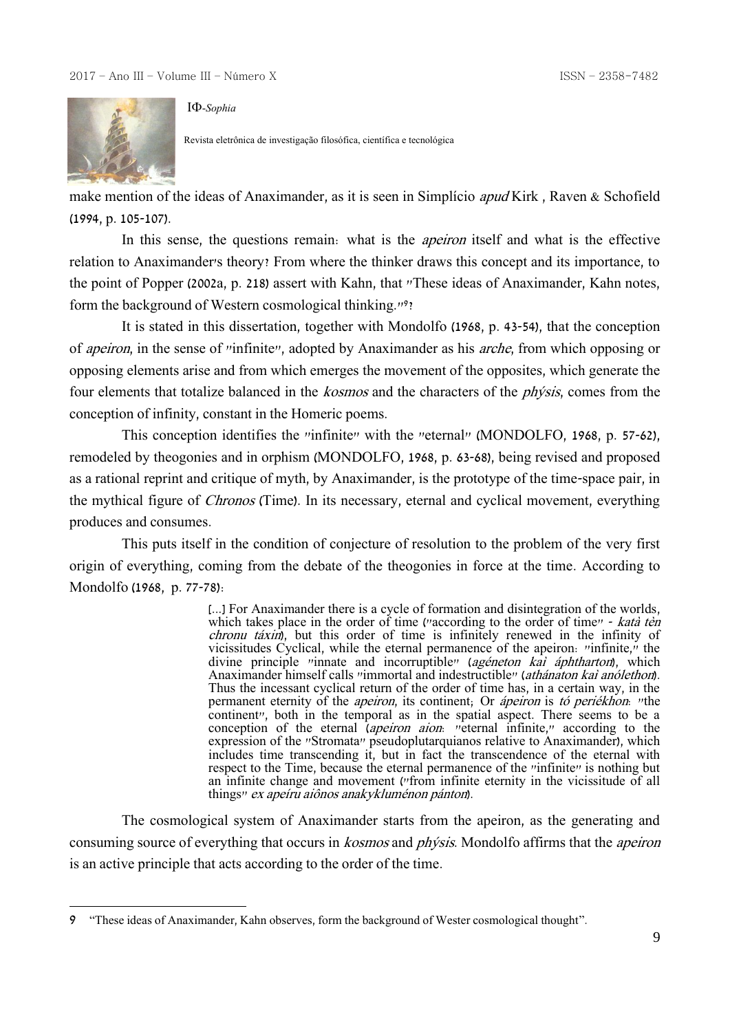

<u>.</u>

-*Sophia*

Revista eletrônica de investigação filosófica, científica e tecnológica

make mention of the ideas of Anaximander, as it is seen in Simplício apud Kirk , Raven & Schofield (1994, p. 105-107).

In this sense, the questions remain: what is the *apeiron* itself and what is the effective relation to Anaximander's theory? From where the thinker draws this concept and its importance, to the point of Popper (2002a, p. 218) assert with Kahn, that "These ideas of Anaximander, Kahn notes, form the background of Western cosmological thinking."<sup>9</sup>?

It is stated in this dissertation, together with Mondolfo (1968, p. 43-54), that the conception of apeiron, in the sense of "infinite", adopted by Anaximander as his arche, from which opposing or opposing elements arise and from which emerges the movement of the opposites, which generate the four elements that totalize balanced in the kosmos and the characters of the phýsis, comes from the conception of infinity, constant in the Homeric poems.

This conception identifies the "infinite" with the "eternal" (MONDOLFO, 1968, p. 57-62), remodeled by theogonies and in orphism (MONDOLFO, 1968, p. 63-68), being revised and proposed as a rational reprint and critique of myth, by Anaximander, is the prototype of the time-space pair, in the mythical figure of Chronos (Time). In its necessary, eternal and cyclical movement, everything produces and consumes.

This puts itself in the condition of conjecture of resolution to the problem of the very first origin of everything, coming from the debate of the theogonies in force at the time. According to Mondolfo (1968, p. 77-78):

> [...] For Anaximander there is a cycle of formation and disintegration of the worlds, which takes place in the order of time ("according to the order of time" - katà tèn chronu táxin), but this order of time is infinitely renewed in the infinity of vicissitudes Cyclical, while the eternal permanence of the apeiron: "infinite," the divine principle "innate and incorruptible" (agéneton kai áphtharton), which Anaximander himself calls "immortal and indestructible" (athánaton kai anólethon). Thus the incessant cyclical return of the order of time has, in a certain way, in the permanent eternity of the *apeiron*, its continent; Or *ápeiron* is tó periékhon: "the continent", both in the temporal as in the spatial aspect. There seems to be a conception of the eternal (apeiron aion: "eternal infinite," according to the expression of the "Stromata" pseudoplutarquianos relative to Anaximander), which includes time transcending it, but in fact the transcendence of the eternal with respect to the Time, because the eternal permanence of the "infinite" is nothing but an infinite change and movement ("from infinite eternity in the vicissitude of all things" ex apeíru aiônos anakykluménon pánton).

The cosmological system of Anaximander starts from the apeiron, as the generating and consuming source of everything that occurs in *kosmos* and *physis*. Mondolfo affirms that the *apeiron* is an active principle that acts according to the order of the time.

<sup>9</sup> "These ideas of Anaximander, Kahn observes, form the background of Wester cosmological thought".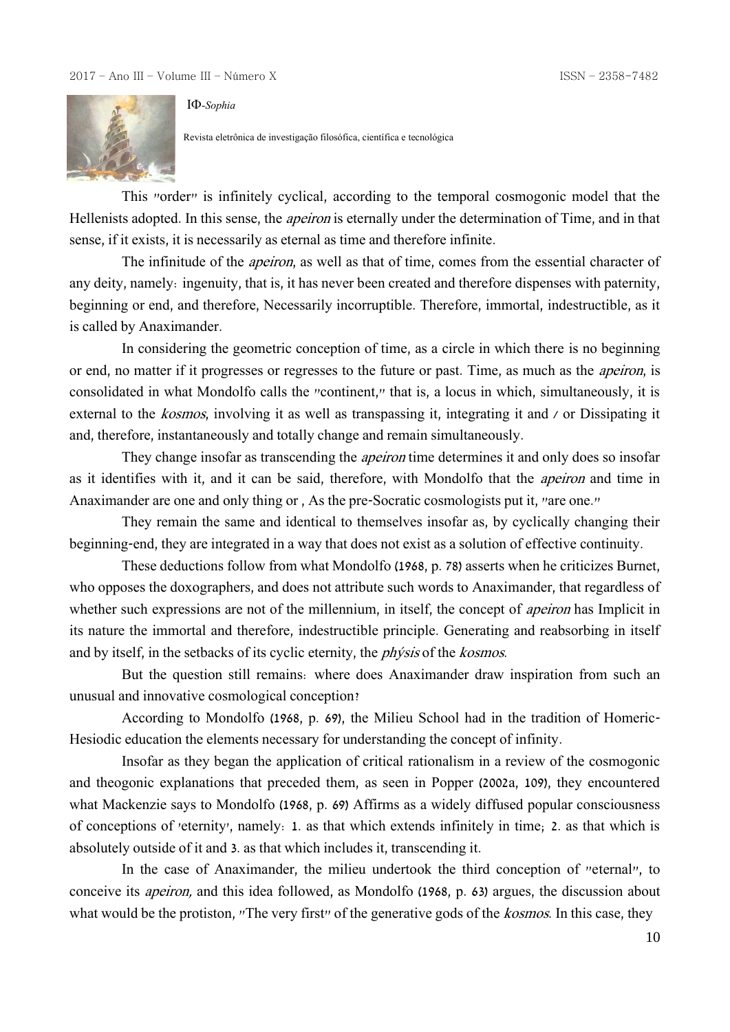

-*Sophia*

Revista eletrônica de investigação filosófica, científica e tecnológica

This "order" is infinitely cyclical, according to the temporal cosmogonic model that the Hellenists adopted. In this sense, the apeiron is eternally under the determination of Time, and in that sense, if it exists, it is necessarily as eternal as time and therefore infinite.

The infinitude of the *apeiron*, as well as that of time, comes from the essential character of any deity, namely: ingenuity, that is, it has never been created and therefore dispenses with paternity, beginning or end, and therefore, Necessarily incorruptible. Therefore, immortal, indestructible, as it is called by Anaximander.

In considering the geometric conception of time, as a circle in which there is no beginning or end, no matter if it progresses or regresses to the future or past. Time, as much as the apeiron, is consolidated in what Mondolfo calls the "continent," that is, a locus in which, simultaneously, it is external to the kosmos, involving it as well as transpassing it, integrating it and / or Dissipating it and, therefore, instantaneously and totally change and remain simultaneously.

They change insofar as transcending the *apeiron* time determines it and only does so insofar as it identifies with it, and it can be said, therefore, with Mondolfo that the apeiron and time in Anaximander are one and only thing or , As the pre-Socratic cosmologists put it, "are one."

They remain the same and identical to themselves insofar as, by cyclically changing their beginning-end, they are integrated in a way that does not exist as a solution of effective continuity.

These deductions follow from what Mondolfo (1968, p. 78) asserts when he criticizes Burnet, who opposes the doxographers, and does not attribute such words to Anaximander, that regardless of whether such expressions are not of the millennium, in itself, the concept of *apeiron* has Implicit in its nature the immortal and therefore, indestructible principle. Generating and reabsorbing in itself and by itself, in the setbacks of its cyclic eternity, the *phýsis* of the *kosmos*.

But the question still remains: where does Anaximander draw inspiration from such an unusual and innovative cosmological conception?

According to Mondolfo (1968, p. 69), the Milieu School had in the tradition of Homeric-Hesiodic education the elements necessary for understanding the concept of infinity.

Insofar as they began the application of critical rationalism in a review of the cosmogonic and theogonic explanations that preceded them, as seen in Popper (2002a, 109), they encountered what Mackenzie says to Mondolfo (1968, p. 69) Affirms as a widely diffused popular consciousness of conceptions of 'eternity', namely: 1. as that which extends infinitely in time; 2. as that which is absolutely outside of it and 3. as that which includes it, transcending it.

In the case of Anaximander, the milieu undertook the third conception of "eternal", to conceive its apeiron, and this idea followed, as Mondolfo (1968, p. 63) argues, the discussion about what would be the protiston, "The very first" of the generative gods of the *kosmos*. In this case, they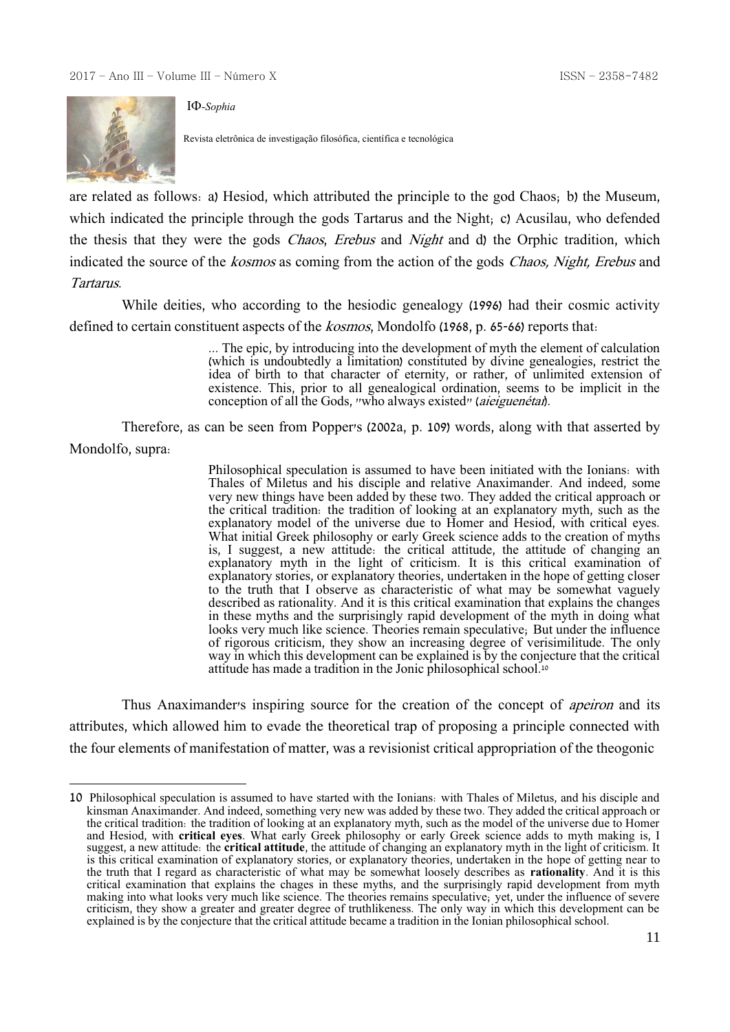

1

-*Sophia*

Revista eletrônica de investigação filosófica, científica e tecnológica

are related as follows: a) Hesiod, which attributed the principle to the god Chaos; b) the Museum, which indicated the principle through the gods Tartarus and the Night; c) Acusilau, who defended the thesis that they were the gods *Chaos, Erebus* and *Night* and d) the Orphic tradition, which indicated the source of the *kosmos* as coming from the action of the gods *Chaos*, *Night, Erebus* and Tartarus.

While deities, who according to the hesiodic genealogy (1996) had their cosmic activity defined to certain constituent aspects of the *kosmos*, Mondolfo (1968, p. 65-66) reports that:

> ... The epic, by introducing into the development of myth the element of calculation (which is undoubtedly a limitation) constituted by divine genealogies, restrict the idea of birth to that character of eternity, or rather, of unlimited extension of existence. This, prior to all genealogical ordination, seems to be implicit in the conception of all the Gods, "who always existed" (*aieiguenétai*).

Therefore, as can be seen from Popper's (2002a, p. 109) words, along with that asserted by Mondolfo, supra:

> Philosophical speculation is assumed to have been initiated with the Ionians: with Thales of Miletus and his disciple and relative Anaximander. And indeed, some very new things have been added by these two. They added the critical approach or the critical tradition: the tradition of looking at an explanatory myth, such as the explanatory model of the universe due to Homer and Hesiod, with critical eyes. What initial Greek philosophy or early Greek science adds to the creation of myths is, I suggest, a new attitude: the critical attitude, the attitude of changing an explanatory myth in the light of criticism. It is this critical examination of explanatory stories, or explanatory theories, undertaken in the hope of getting closer to the truth that I observe as characteristic of what may be somewhat vaguely described as rationality. And it is this critical examination that explains the changes in these myths and the surprisingly rapid development of the myth in doing what looks very much like science. Theories remain speculative; But under the influence of rigorous criticism, they show an increasing degree of verisimilitude. The only way in which this development can be explained is by the conjecture that the critical attitude has made a tradition in the Jonic philosophical school.<sup>10</sup>

Thus Anaximander's inspiring source for the creation of the concept of *apeiron* and its attributes, which allowed him to evade the theoretical trap of proposing a principle connected with the four elements of manifestation of matter, was a revisionist critical appropriation of the theogonic

<sup>10</sup> Philosophical speculation is assumed to have started with the Ionians: with Thales of Miletus, and his disciple and kinsman Anaximander. And indeed, something very new was added by these two. They added the critical approach or the critical tradition: the tradition of looking at an explanatory myth, such as the model of the universe due to Homer and Hesiod, with **critical eyes**. What early Greek philosophy or early Greek science adds to myth making is, I suggest, a new attitude: the **critical attitude**, the attitude of changing an explanatory myth in the light of criticism. It is this critical examination of explanatory stories, or explanatory theories, undertaken in the hope of getting near to the truth that I regard as characteristic of what may be somewhat loosely describes as **rationality**. And it is this critical examination that explains the chages in these myths, and the surprisingly rapid development from myth making into what looks very much like science. The theories remains speculative; yet, under the influence of severe criticism, they show a greater and greater degree of truthlikeness. The only way in which this development can be explained is by the conjecture that the critical attitude became a tradition in the Ionian philosophical school.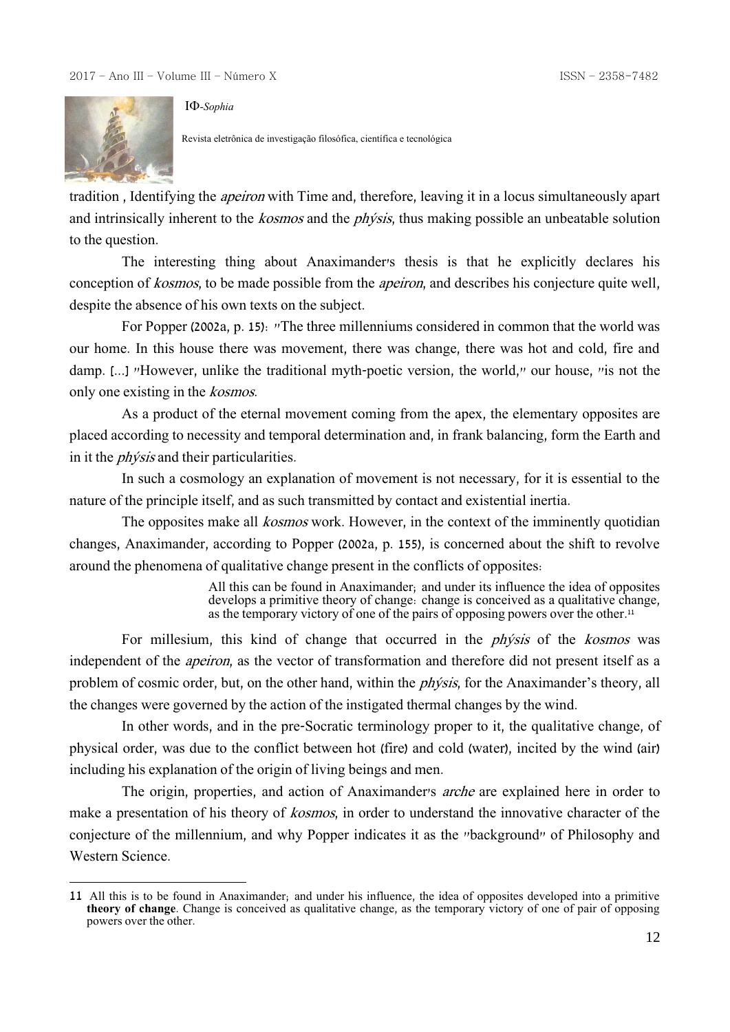

1

-*Sophia*

Revista eletrônica de investigação filosófica, científica e tecnológica

tradition , Identifying the apeiron with Time and, therefore, leaving it in a locus simultaneously apart and intrinsically inherent to the *kosmos* and the *physis*, thus making possible an unbeatable solution to the question.

The interesting thing about Anaximander's thesis is that he explicitly declares his conception of kosmos, to be made possible from the apeiron, and describes his conjecture quite well, despite the absence of his own texts on the subject.

For Popper (2002a, p. 15): "The three millenniums considered in common that the world was our home. In this house there was movement, there was change, there was hot and cold, fire and damp. [...] "However, unlike the traditional myth-poetic version, the world," our house, "is not the only one existing in the kosmos.

As a product of the eternal movement coming from the apex, the elementary opposites are placed according to necessity and temporal determination and, in frank balancing, form the Earth and in it the phýsis and their particularities.

In such a cosmology an explanation of movement is not necessary, for it is essential to the nature of the principle itself, and as such transmitted by contact and existential inertia.

The opposites make all *kosmos* work. However, in the context of the imminently quotidian changes, Anaximander, according to Popper (2002a, p. 155), is concerned about the shift to revolve around the phenomena of qualitative change present in the conflicts of opposites:

> All this can be found in Anaximander; and under its influence the idea of opposites develops a primitive theory of change: change is conceived as a qualitative change, as the temporary victory of one of the pairs of opposing powers over the other.<sup>11</sup>

For millesium, this kind of change that occurred in the *physis* of the *kosmos* was independent of the apeiron, as the vector of transformation and therefore did not present itself as a problem of cosmic order, but, on the other hand, within the phýsis, for the Anaximander's theory, all the changes were governed by the action of the instigated thermal changes by the wind.

In other words, and in the pre-Socratic terminology proper to it, the qualitative change, of physical order, was due to the conflict between hot (fire) and cold (water), incited by the wind (air) including his explanation of the origin of living beings and men.

The origin, properties, and action of Anaximander's *arche* are explained here in order to make a presentation of his theory of *kosmos*, in order to understand the innovative character of the conjecture of the millennium, and why Popper indicates it as the "background" of Philosophy and Western Science.

<sup>11</sup> All this is to be found in Anaximander; and under his influence, the idea of opposites developed into a primitive **theory of change**. Change is conceived as qualitative change, as the temporary victory of one of pair of opposing powers over the other.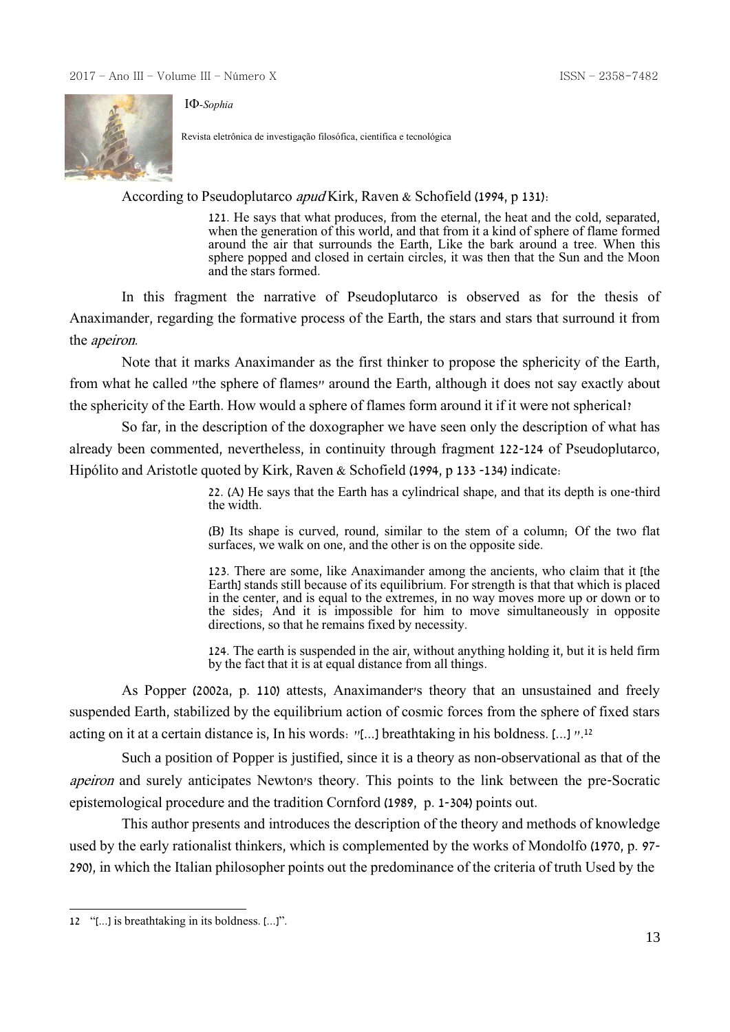

Revista eletrônica de investigação filosófica, científica e tecnológica

According to Pseudoplutarco apud Kirk, Raven & Schofield (1994, p 131):

121. He says that what produces, from the eternal, the heat and the cold, separated, when the generation of this world, and that from it a kind of sphere of flame formed around the air that surrounds the Earth, Like the bark around a tree. When this sphere popped and closed in certain circles, it was then that the Sun and the Moon and the stars formed.

In this fragment the narrative of Pseudoplutarco is observed as for the thesis of Anaximander, regarding the formative process of the Earth, the stars and stars that surround it from the apeiron.

Note that it marks Anaximander as the first thinker to propose the sphericity of the Earth, from what he called "the sphere of flames" around the Earth, although it does not say exactly about the sphericity of the Earth. How would a sphere of flames form around it if it were not spherical?

So far, in the description of the doxographer we have seen only the description of what has already been commented, nevertheless, in continuity through fragment 122-124 of Pseudoplutarco, Hipólito and Aristotle quoted by Kirk, Raven & Schofield (1994, p 133 -134) indicate:

> 22. (A) He says that the Earth has a cylindrical shape, and that its depth is one-third the width.

> (B) Its shape is curved, round, similar to the stem of a column; Of the two flat surfaces, we walk on one, and the other is on the opposite side.

> 123. There are some, like Anaximander among the ancients, who claim that it [the Earth] stands still because of its equilibrium. For strength is that that which is placed in the center, and is equal to the extremes, in no way moves more up or down or to the sides; And it is impossible for him to move simultaneously in opposite directions, so that he remains fixed by necessity.

> 124. The earth is suspended in the air, without anything holding it, but it is held firm by the fact that it is at equal distance from all things.

As Popper (2002a, p. 110) attests, Anaximander's theory that an unsustained and freely suspended Earth, stabilized by the equilibrium action of cosmic forces from the sphere of fixed stars acting on it at a certain distance is, In his words: "[...] breathtaking in his boldness. [...] ".<sup>12</sup>

Such a position of Popper is justified, since it is a theory as non-observational as that of the apeiron and surely anticipates Newton's theory. This points to the link between the pre-Socratic epistemological procedure and the tradition Cornford (1989, p. 1-304) points out.

This author presents and introduces the description of the theory and methods of knowledge used by the early rationalist thinkers, which is complemented by the works of Mondolfo (1970, p. 97- 290), in which the Italian philosopher points out the predominance of the criteria of truth Used by the

<sup>&</sup>lt;u>.</u> 12 "[...] is breathtaking in its boldness. [...]".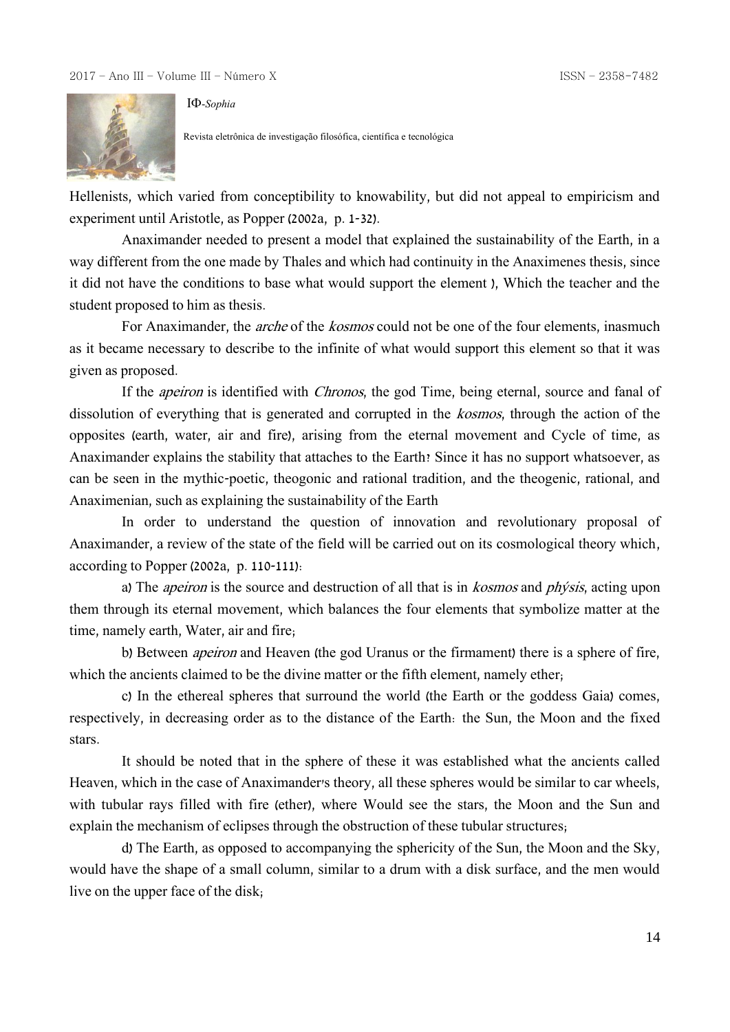

-*Sophia*

Revista eletrônica de investigação filosófica, científica e tecnológica

Hellenists, which varied from conceptibility to knowability, but did not appeal to empiricism and experiment until Aristotle, as Popper (2002a, p. 1-32).

Anaximander needed to present a model that explained the sustainability of the Earth, in a way different from the one made by Thales and which had continuity in the Anaximenes thesis, since it did not have the conditions to base what would support the element ), Which the teacher and the student proposed to him as thesis.

For Anaximander, the *arche* of the *kosmos* could not be one of the four elements, inasmuch as it became necessary to describe to the infinite of what would support this element so that it was given as proposed.

If the *apeiron* is identified with *Chronos*, the god Time, being eternal, source and fanal of dissolution of everything that is generated and corrupted in the *kosmos*, through the action of the opposites (earth, water, air and fire), arising from the eternal movement and Cycle of time, as Anaximander explains the stability that attaches to the Earth? Since it has no support whatsoever, as can be seen in the mythic-poetic, theogonic and rational tradition, and the theogenic, rational, and Anaximenian, such as explaining the sustainability of the Earth

In order to understand the question of innovation and revolutionary proposal of Anaximander, a review of the state of the field will be carried out on its cosmological theory which, according to Popper (2002a, p. 110-111):

a) The *apeiron* is the source and destruction of all that is in *kosmos* and *phýsis*, acting upon them through its eternal movement, which balances the four elements that symbolize matter at the time, namely earth, Water, air and fire;

b) Between *apeiron* and Heaven (the god Uranus or the firmament) there is a sphere of fire, which the ancients claimed to be the divine matter or the fifth element, namely ether;

c) In the ethereal spheres that surround the world (the Earth or the goddess Gaia) comes, respectively, in decreasing order as to the distance of the Earth: the Sun, the Moon and the fixed stars.

It should be noted that in the sphere of these it was established what the ancients called Heaven, which in the case of Anaximander's theory, all these spheres would be similar to car wheels, with tubular rays filled with fire (ether), where Would see the stars, the Moon and the Sun and explain the mechanism of eclipses through the obstruction of these tubular structures;

d) The Earth, as opposed to accompanying the sphericity of the Sun, the Moon and the Sky, would have the shape of a small column, similar to a drum with a disk surface, and the men would live on the upper face of the disk;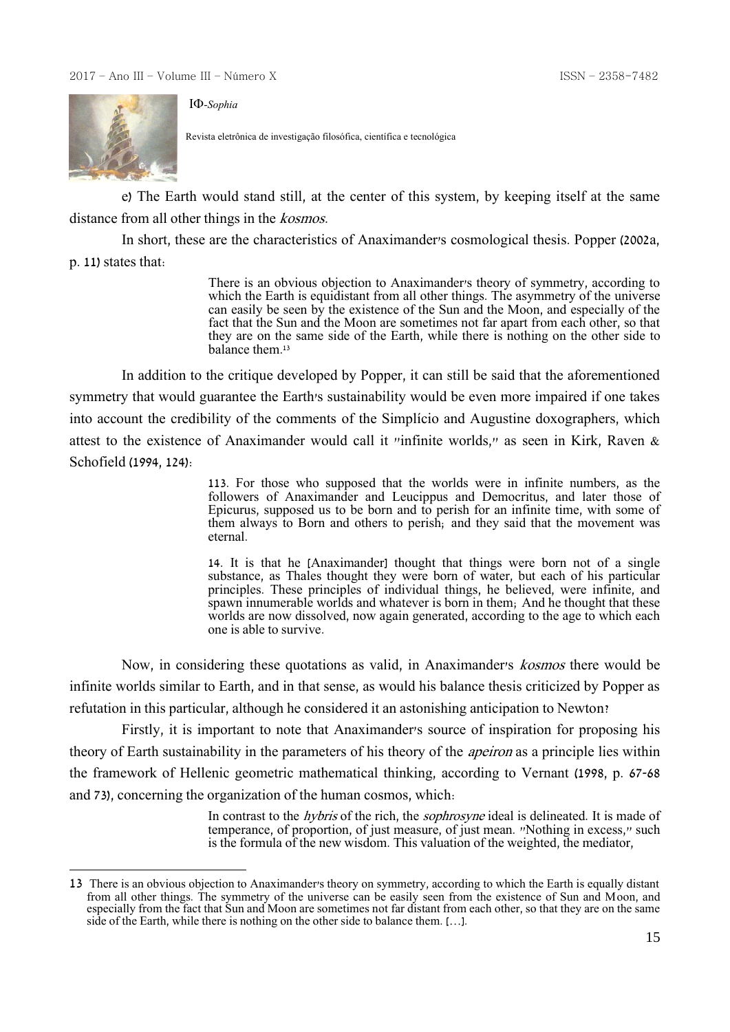

Revista eletrônica de investigação filosófica, científica e tecnológica

e) The Earth would stand still, at the center of this system, by keeping itself at the same distance from all other things in the *kosmos*.

In short, these are the characteristics of Anaximander's cosmological thesis. Popper (2002a,

p. 11) states that:

<u>.</u>

There is an obvious objection to Anaximander's theory of symmetry, according to which the Earth is equidistant from all other things. The asymmetry of the universe can easily be seen by the existence of the Sun and the Moon, and especially of the fact that the Sun and the Moon are sometimes not far apart from each other, so that they are on the same side of the Earth, while there is nothing on the other side to balance them. 13

In addition to the critique developed by Popper, it can still be said that the aforementioned symmetry that would guarantee the Earth's sustainability would be even more impaired if one takes into account the credibility of the comments of the Simplício and Augustine doxographers, which attest to the existence of Anaximander would call it "infinite worlds," as seen in Kirk, Raven & Schofield (1994, 124):

> 113. For those who supposed that the worlds were in infinite numbers, as the followers of Anaximander and Leucippus and Democritus, and later those of Epicurus, supposed us to be born and to perish for an infinite time, with some of them always to Born and others to perish; and they said that the movement was eternal.

> 14. It is that he [Anaximander] thought that things were born not of a single substance, as Thales thought they were born of water, but each of his particular principles. These principles of individual things, he believed, were infinite, and spawn innumerable worlds and whatever is born in them; And he thought that these worlds are now dissolved, now again generated, according to the age to which each one is able to survive.

Now, in considering these quotations as valid, in Anaximander's kosmos there would be infinite worlds similar to Earth, and in that sense, as would his balance thesis criticized by Popper as refutation in this particular, although he considered it an astonishing anticipation to Newton?

Firstly, it is important to note that Anaximander's source of inspiration for proposing his theory of Earth sustainability in the parameters of his theory of the apeiron as a principle lies within the framework of Hellenic geometric mathematical thinking, according to Vernant (1998, p. 67-68 and 73), concerning the organization of the human cosmos, which:

> In contrast to the *hybris* of the rich, the *sophrosyne* ideal is delineated. It is made of temperance, of proportion, of just measure, of just mean. "Nothing in excess," such is the formula of the new wisdom. This valuation of the weighted, the mediator,

<sup>13</sup> There is an obvious objection to Anaximander's theory on symmetry, according to which the Earth is equally distant from all other things. The symmetry of the universe can be easily seen from the existence of Sun and Moon, and especially from the fact that Sun and Moon are sometimes not far distant from each other, so that they are on the same side of the Earth, while there is nothing on the other side to balance them. […].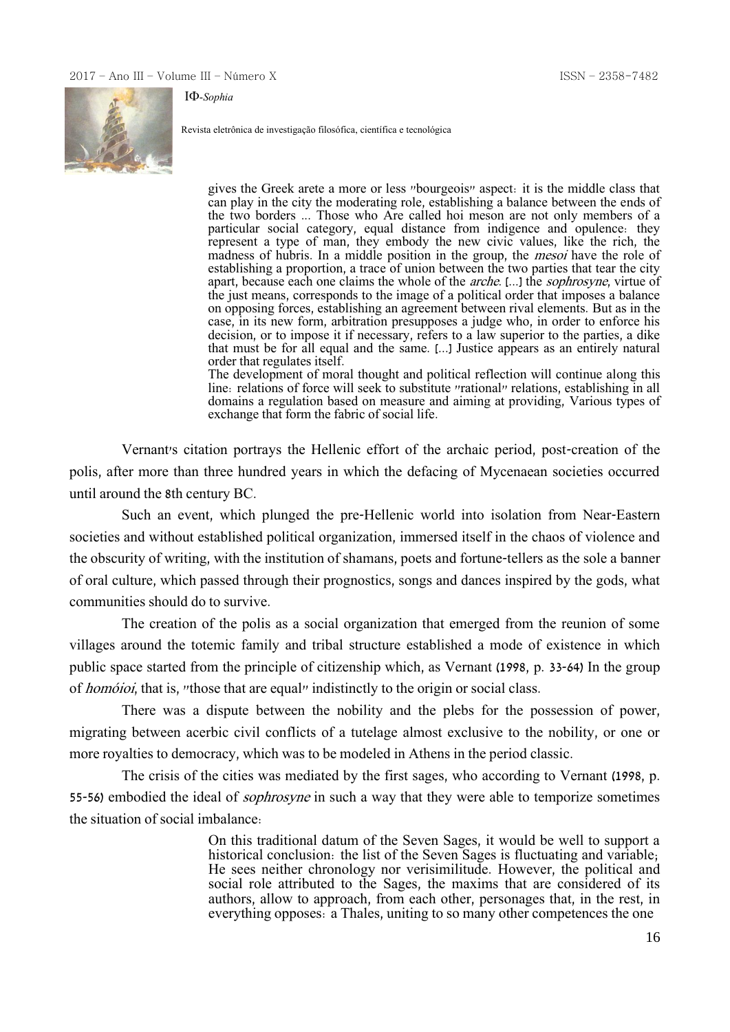

-*Sophia*

Revista eletrônica de investigação filosófica, científica e tecnológica

gives the Greek arete a more or less "bourgeois" aspect: it is the middle class that can play in the city the moderating role, establishing a balance between the ends of the two borders ... Those who Are called hoi meson are not only members of a particular social category, equal distance from indigence and opulence: they represent a type of man, they embody the new civic values, like the rich, the madness of hubris. In a middle position in the group, the *mesoi* have the role of establishing a proportion, a trace of union between the two parties that tear the city apart, because each one claims the whole of the *arche*. [...] the *sophrosyne*, virtue of the just means, corresponds to the image of a political order that imposes a balance on opposing forces, establishing an agreement between rival elements. But as in the case, in its new form, arbitration presupposes a judge who, in order to enforce his decision, or to impose it if necessary, refers to a law superior to the parties, a dike that must be for all equal and the same. [...] Justice appears as an entirely natural order that regulates itself. The development of moral thought and political reflection will continue along this

line: relations of force will seek to substitute "rational" relations, establishing in all domains a regulation based on measure and aiming at providing, Various types of exchange that form the fabric of social life.

Vernant's citation portrays the Hellenic effort of the archaic period, post-creation of the polis, after more than three hundred years in which the defacing of Mycenaean societies occurred until around the 8th century BC.

Such an event, which plunged the pre-Hellenic world into isolation from Near-Eastern societies and without established political organization, immersed itself in the chaos of violence and the obscurity of writing, with the institution of shamans, poets and fortune-tellers as the sole a banner of oral culture, which passed through their prognostics, songs and dances inspired by the gods, what communities should do to survive.

The creation of the polis as a social organization that emerged from the reunion of some villages around the totemic family and tribal structure established a mode of existence in which public space started from the principle of citizenship which, as Vernant (1998, p. 33-64) In the group of *homóioi*, that is, "those that are equal" indistinctly to the origin or social class.

There was a dispute between the nobility and the plebs for the possession of power, migrating between acerbic civil conflicts of a tutelage almost exclusive to the nobility, or one or more royalties to democracy, which was to be modeled in Athens in the period classic.

The crisis of the cities was mediated by the first sages, who according to Vernant (1998, p. 55-56) embodied the ideal of sophrosyne in such a way that they were able to temporize sometimes the situation of social imbalance:

> On this traditional datum of the Seven Sages, it would be well to support a historical conclusion: the list of the Seven Sages is fluctuating and variable; He sees neither chronology nor verisimilitude. However, the political and social role attributed to the Sages, the maxims that are considered of its authors, allow to approach, from each other, personages that, in the rest, in everything opposes: a Thales, uniting to so many other competences the one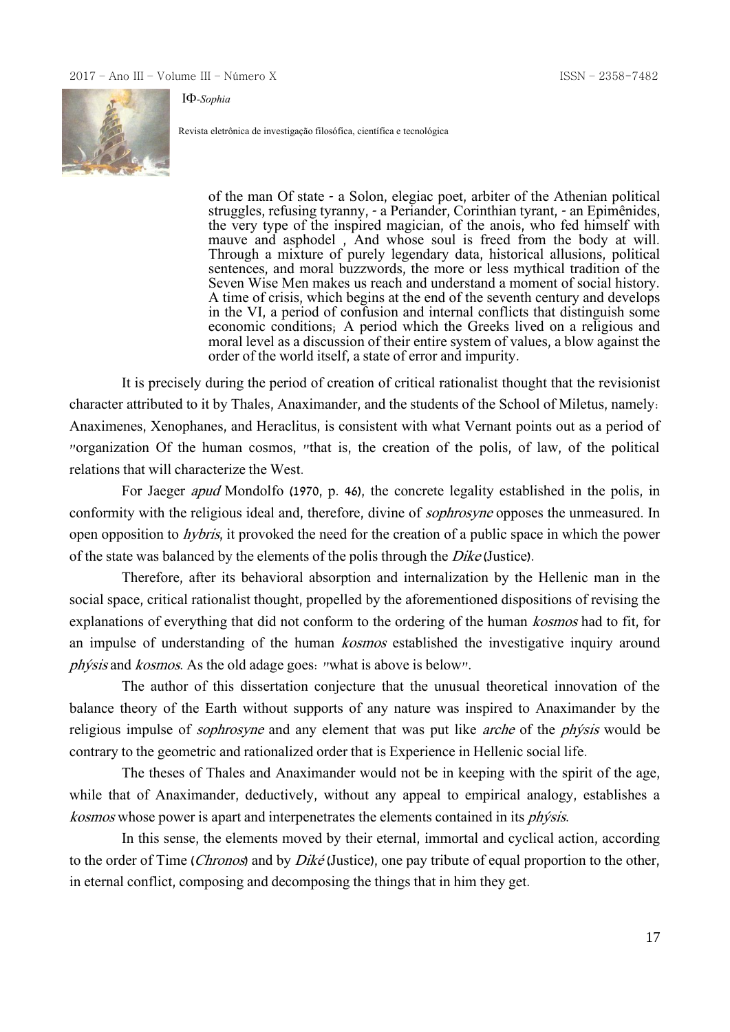

-*Sophia*

Revista eletrônica de investigação filosófica, científica e tecnológica

of the man Of state - a Solon, elegiac poet, arbiter of the Athenian political struggles, refusing tyranny, - a Periander, Corinthian tyrant, - an Epimênides, the very type of the inspired magician, of the anois, who fed himself with mauve and asphodel , And whose soul is freed from the body at will. Through a mixture of purely legendary data, historical allusions, political sentences, and moral buzzwords, the more or less mythical tradition of the Seven Wise Men makes us reach and understand a moment of social history. A time of crisis, which begins at the end of the seventh century and develops in the VI, a period of confusion and internal conflicts that distinguish some economic conditions; A period which the Greeks lived on a religious and moral level as a discussion of their entire system of values, a blow against the order of the world itself, a state of error and impurity.

It is precisely during the period of creation of critical rationalist thought that the revisionist character attributed to it by Thales, Anaximander, and the students of the School of Miletus, namely: Anaximenes, Xenophanes, and Heraclitus, is consistent with what Vernant points out as a period of "organization Of the human cosmos, "that is, the creation of the polis, of law, of the political relations that will characterize the West.

For Jaeger apud Mondolfo (1970, p. 46), the concrete legality established in the polis, in conformity with the religious ideal and, therefore, divine of sophrosyne opposes the unmeasured. In open opposition to hybris, it provoked the need for the creation of a public space in which the power of the state was balanced by the elements of the polis through the Dike (Justice).

Therefore, after its behavioral absorption and internalization by the Hellenic man in the social space, critical rationalist thought, propelled by the aforementioned dispositions of revising the explanations of everything that did not conform to the ordering of the human kosmos had to fit, for an impulse of understanding of the human kosmos established the investigative inquiry around phýsis and kosmos. As the old adage goes: "what is above is below".

The author of this dissertation conjecture that the unusual theoretical innovation of the balance theory of the Earth without supports of any nature was inspired to Anaximander by the religious impulse of sophrosyne and any element that was put like arche of the phýsis would be contrary to the geometric and rationalized order that is Experience in Hellenic social life.

The theses of Thales and Anaximander would not be in keeping with the spirit of the age, while that of Anaximander, deductively, without any appeal to empirical analogy, establishes a kosmos whose power is apart and interpenetrates the elements contained in its phýsis.

In this sense, the elements moved by their eternal, immortal and cyclical action, according to the order of Time (*Chronos*) and by *Diké* (Justice), one pay tribute of equal proportion to the other, in eternal conflict, composing and decomposing the things that in him they get.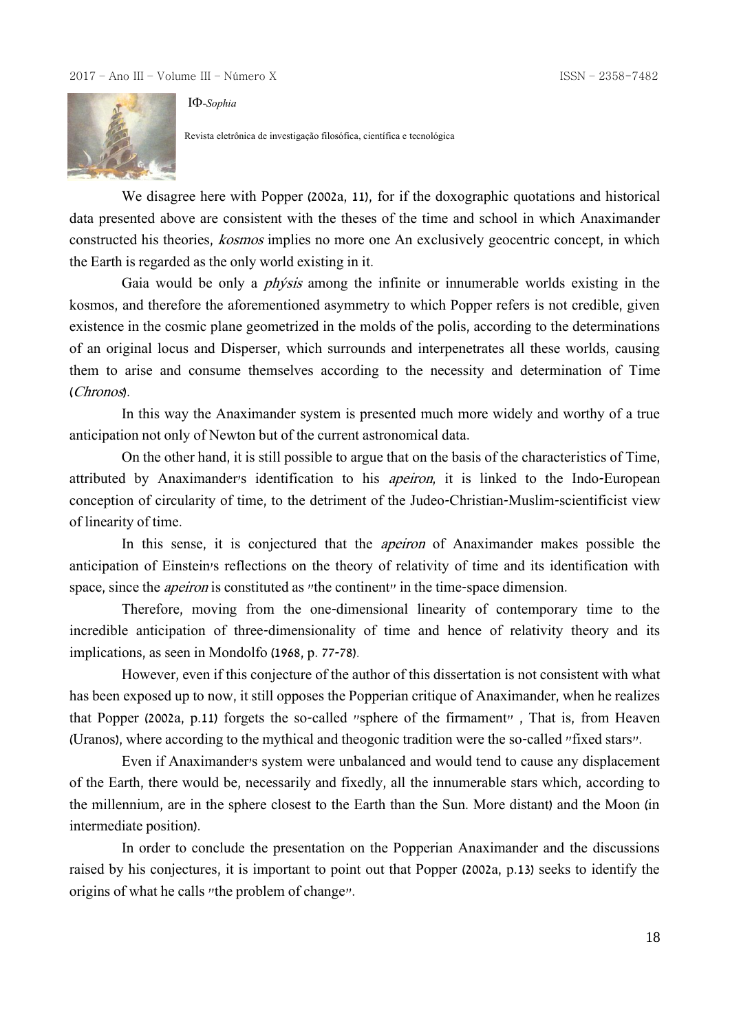

-*Sophia*

Revista eletrônica de investigação filosófica, científica e tecnológica

We disagree here with Popper (2002a, 11), for if the doxographic quotations and historical data presented above are consistent with the theses of the time and school in which Anaximander constructed his theories, kosmos implies no more one An exclusively geocentric concept, in which the Earth is regarded as the only world existing in it.

Gaia would be only a *physis* among the infinite or innumerable worlds existing in the kosmos, and therefore the aforementioned asymmetry to which Popper refers is not credible, given existence in the cosmic plane geometrized in the molds of the polis, according to the determinations of an original locus and Disperser, which surrounds and interpenetrates all these worlds, causing them to arise and consume themselves according to the necessity and determination of Time (Chronos).

In this way the Anaximander system is presented much more widely and worthy of a true anticipation not only of Newton but of the current astronomical data.

On the other hand, it is still possible to argue that on the basis of the characteristics of Time, attributed by Anaximander's identification to his apeiron, it is linked to the Indo-European conception of circularity of time, to the detriment of the Judeo-Christian-Muslim-scientificist view of linearity of time.

In this sense, it is conjectured that the *apeiron* of Anaximander makes possible the anticipation of Einstein's reflections on the theory of relativity of time and its identification with space, since the *apeiron* is constituted as "the continent" in the time-space dimension.

Therefore, moving from the one-dimensional linearity of contemporary time to the incredible anticipation of three-dimensionality of time and hence of relativity theory and its implications, as seen in Mondolfo (1968, p. 77-78).

However, even if this conjecture of the author of this dissertation is not consistent with what has been exposed up to now, it still opposes the Popperian critique of Anaximander, when he realizes that Popper (2002a, p.11) forgets the so-called "sphere of the firmament" , That is, from Heaven (Uranos), where according to the mythical and theogonic tradition were the so-called "fixed stars".

Even if Anaximander's system were unbalanced and would tend to cause any displacement of the Earth, there would be, necessarily and fixedly, all the innumerable stars which, according to the millennium, are in the sphere closest to the Earth than the Sun. More distant) and the Moon (in intermediate position).

In order to conclude the presentation on the Popperian Anaximander and the discussions raised by his conjectures, it is important to point out that Popper (2002a, p.13) seeks to identify the origins of what he calls "the problem of change".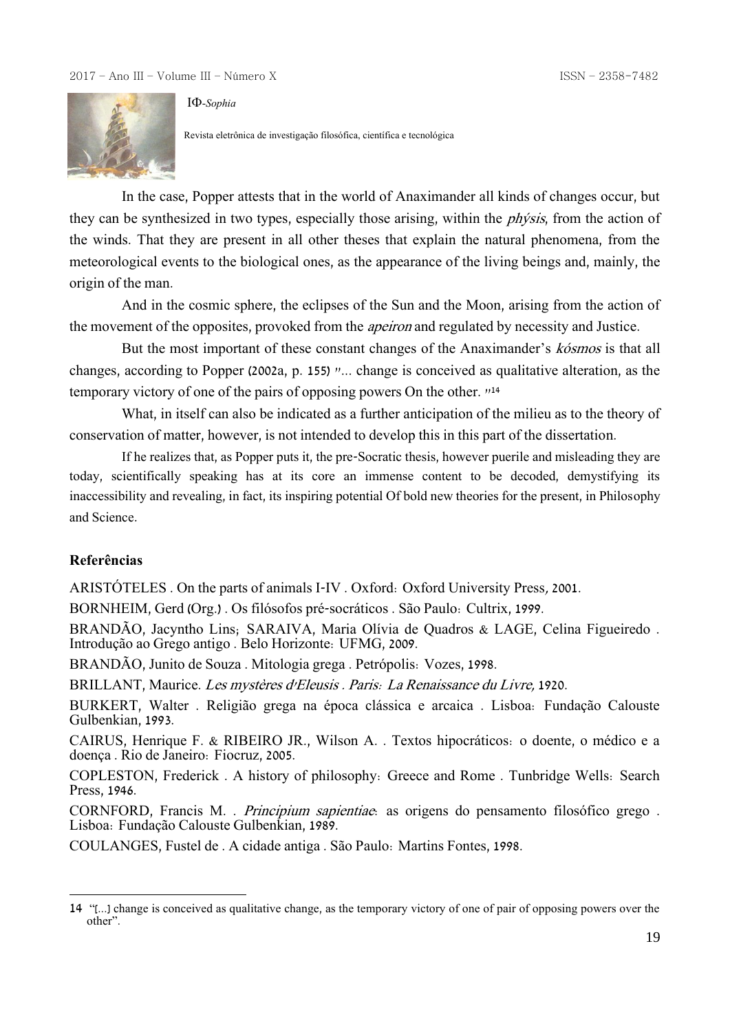

-*Sophia*

Revista eletrônica de investigação filosófica, científica e tecnológica

In the case, Popper attests that in the world of Anaximander all kinds of changes occur, but they can be synthesized in two types, especially those arising, within the *physis*, from the action of the winds. That they are present in all other theses that explain the natural phenomena, from the meteorological events to the biological ones, as the appearance of the living beings and, mainly, the origin of the man.

And in the cosmic sphere, the eclipses of the Sun and the Moon, arising from the action of the movement of the opposites, provoked from the apeiron and regulated by necessity and Justice.

But the most important of these constant changes of the Anaximander's kósmos is that all changes, according to Popper (2002a, p. 155) "... change is conceived as qualitative alteration, as the temporary victory of one of the pairs of opposing powers On the other. " 14

What, in itself can also be indicated as a further anticipation of the milieu as to the theory of conservation of matter, however, is not intended to develop this in this part of the dissertation.

If he realizes that, as Popper puts it, the pre-Socratic thesis, however puerile and misleading they are today, scientifically speaking has at its core an immense content to be decoded, demystifying its inaccessibility and revealing, in fact, its inspiring potential Of bold new theories for the present, in Philosophy and Science.

# **Referências**

1

ARISTÓTELES . On the parts of animals I-IV . Oxford: Oxford University Press, 2001.

BORNHEIM, Gerd (Org.) . Os filósofos pré-socráticos . São Paulo: Cultrix, 1999.

BRANDÃO, Jacyntho Lins; SARAIVA, Maria Olívia de Quadros & LAGE, Celina Figueiredo . Introdução ao Grego antigo . Belo Horizonte: UFMG, 2009.

BRANDÃO, Junito de Souza . Mitologia grega . Petrópolis: Vozes, 1998.

BRILLANT, Maurice. Les mystères d'Eleusis . Paris: La Renaissance du Livre, 1920.

BURKERT, Walter . Religião grega na época clássica e arcaica . Lisboa: Fundação Calouste Gulbenkian, 1993.

CAIRUS, Henrique F. & RIBEIRO JR., Wilson A. . Textos hipocráticos: o doente, o médico e a doença . Rio de Janeiro: Fiocruz, 2005.

COPLESTON, Frederick . A history of philosophy: Greece and Rome . Tunbridge Wells: Search Press, 1946.

CORNFORD, Francis M. . Principium sapientiae: as origens do pensamento filosófico grego . Lisboa: Fundação Calouste Gulbenkian, 1989.

COULANGES, Fustel de . A cidade antiga . São Paulo: Martins Fontes, 1998.

<sup>14</sup> "[...] change is conceived as qualitative change, as the temporary victory of one of pair of opposing powers over the other".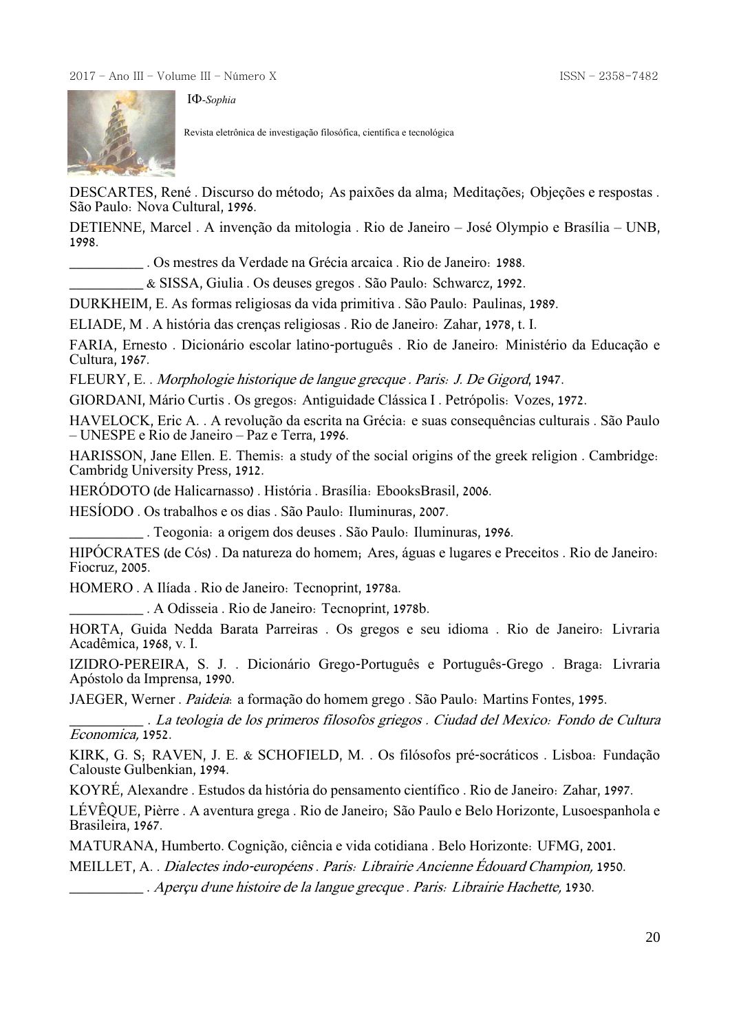

Revista eletrônica de investigação filosófica, científica e tecnológica

DESCARTES, René . Discurso do método; As paixões da alma; Meditações; Objeções e respostas . São Paulo: Nova Cultural, 1996.

DETIENNE, Marcel . A invenção da mitologia . Rio de Janeiro – José Olympio e Brasília – UNB, 1998.

\_\_\_\_\_\_\_\_\_\_ . Os mestres da Verdade na Grécia arcaica . Rio de Janeiro: 1988.

\_\_\_\_\_\_\_\_\_\_ & SISSA, Giulia . Os deuses gregos . São Paulo: Schwarcz, 1992.

DURKHEIM, E. As formas religiosas da vida primitiva . São Paulo: Paulinas, 1989.

ELIADE, M . A história das crenças religiosas . Rio de Janeiro: Zahar, 1978, t. I.

FARIA, Ernesto . Dicionário escolar latino-português . Rio de Janeiro: Ministério da Educação e Cultura, 1967.

FLEURY, E. . Morphologie historique de langue grecque . Paris: J. De Gigord, 1947.

GIORDANI, Mário Curtis . Os gregos: Antiguidade Clássica I . Petrópolis: Vozes, 1972.

HAVELOCK, Eric A. . A revolução da escrita na Grécia: e suas consequências culturais . São Paulo – UNESPE e Rio de Janeiro – Paz e Terra, 1996.

HARISSON, Jane Ellen. E. Themis: a study of the social origins of the greek religion . Cambridge: Cambridg University Press, 1912.

HERÓDOTO (de Halicarnasso) . História . Brasília: EbooksBrasil, 2006.

HESÍODO . Os trabalhos e os dias . São Paulo: Iluminuras, 2007.

\_\_\_\_\_\_\_\_\_\_ . Teogonia: a origem dos deuses . São Paulo: Iluminuras, 1996.

HIPÓCRATES (de Cós) . Da natureza do homem; Ares, águas e lugares e Preceitos . Rio de Janeiro: Fiocruz, 2005.

HOMERO . A Ilíada . Rio de Janeiro: Tecnoprint, 1978a.

\_\_\_\_\_\_\_\_\_\_ . A Odisseia . Rio de Janeiro: Tecnoprint, 1978b.

HORTA, Guida Nedda Barata Parreiras . Os gregos e seu idioma . Rio de Janeiro: Livraria Acadêmica, 1968, v. I.

IZIDRO-PEREIRA, S. J. . Dicionário Grego-Português e Português-Grego . Braga: Livraria Apóstolo da Imprensa, 1990.

JAEGER, Werner . Paideia: a formação do homem grego . São Paulo: Martins Fontes, 1995.

\_\_\_\_\_\_\_\_\_\_ . La teologia de los primeros filosofos griegos . Ciudad del Mexico: Fondo de Cultura Economica, 1952.

KIRK, G. S; RAVEN, J. E. & SCHOFIELD, M. . Os filósofos pré-socráticos . Lisboa: Fundação Calouste Gulbenkian, 1994.

KOYRÉ, Alexandre . Estudos da história do pensamento científico . Rio de Janeiro: Zahar, 1997.

LÉVÊQUE, Pièrre . A aventura grega . Rio de Janeiro; São Paulo e Belo Horizonte, Lusoespanhola e Brasileira, 1967.

MATURANA, Humberto. Cognição, ciência e vida cotidiana . Belo Horizonte: UFMG, 2001.

MEILLET, A. . Dialectes indo-européens . Paris: Librairie Ancienne Édouard Champion, 1950.

\_\_\_\_\_\_\_\_\_\_ . Aperçu d'une histoire de la langue grecque . Paris: Librairie Hachette, 1930.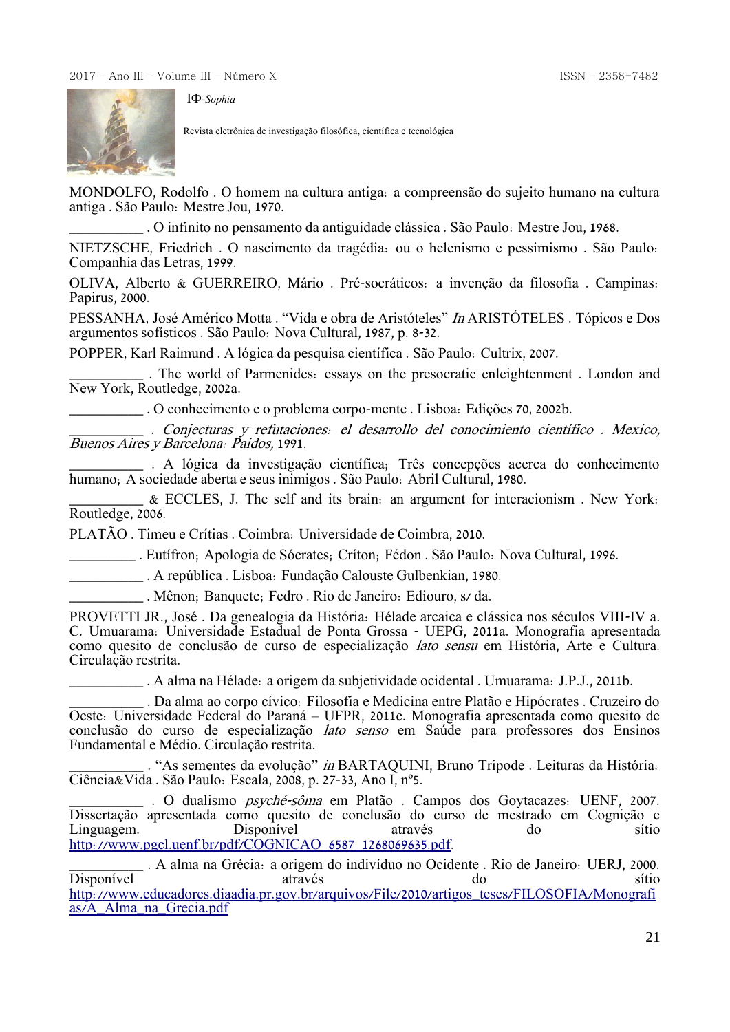

Revista eletrônica de investigação filosófica, científica e tecnológica

MONDOLFO, Rodolfo . O homem na cultura antiga: a compreensão do sujeito humano na cultura antiga . São Paulo: Mestre Jou, 1970.

\_\_\_\_\_\_\_\_\_\_ . O infinito no pensamento da antiguidade clássica . São Paulo: Mestre Jou, 1968.

NIETZSCHE, Friedrich . O nascimento da tragédia: ou o helenismo e pessimismo . São Paulo: Companhia das Letras, 1999.

OLIVA, Alberto & GUERREIRO, Mário . Pré-socráticos: a invenção da filosofia . Campinas: Papirus, 2000.

PESSANHA, José Américo Motta . "Vida e obra de Aristóteles" In ARISTÓTELES . Tópicos e Dos argumentos sofísticos . São Paulo: Nova Cultural, 1987, p. 8-32.

POPPER, Karl Raimund . A lógica da pesquisa científica . São Paulo: Cultrix, 2007.

\_\_\_\_\_\_\_\_\_\_ . The world of Parmenides: essays on the presocratic enleightenment . London and New York, Routledge, 2002a.

\_\_\_\_\_\_\_\_\_\_ . O conhecimento e o problema corpo-mente . Lisboa: Edições 70, 2002b.

\_\_\_\_\_\_\_\_\_\_ . Conjecturas y refutaciones: el desarrollo del conocimiento científico . Mexico, Buenos Aires y Barcelona: Paidos, 1991.

\_\_\_\_\_\_\_\_\_\_ . A lógica da investigação científica; Três concepções acerca do conhecimento humano; A sociedade aberta e seus inimigos . São Paulo: Abril Cultural, 1980.

\_\_\_\_\_\_\_\_\_\_ & ECCLES, J. The self and its brain: an argument for interacionism . New York: Routledge, 2006.

PLATÃO . Timeu e Crítias . Coimbra: Universidade de Coimbra, 2010.

\_\_\_\_\_\_\_\_\_ . Eutífron; Apologia de Sócrates; Críton; Fédon . São Paulo: Nova Cultural, 1996.

\_\_\_\_\_\_\_\_\_\_ . A república . Lisboa: Fundação Calouste Gulbenkian, 1980.

\_\_\_\_\_\_\_\_\_\_ . Mênon; Banquete; Fedro . Rio de Janeiro: Ediouro, s/ da.

PROVETTI JR., José . Da genealogia da História: Hélade arcaica e clássica nos séculos VIII-IV a. C. Umuarama: Universidade Estadual de Ponta Grossa - UEPG, 2011a. Monografia apresentada como quesito de conclusão de curso de especialização lato sensu em História, Arte e Cultura. Circulação restrita.

\_\_\_\_\_\_\_\_\_\_ . A alma na Hélade: a origem da subjetividade ocidental . Umuarama: J.P.J., 2011b.

\_\_\_\_\_\_\_\_\_\_ . Da alma ao corpo cívico: Filosofia e Medicina entre Platão e Hipócrates . Cruzeiro do Oeste: Universidade Federal do Paraná – UFPR, 2011c. Monografia apresentada como quesito de conclusão do curso de especialização lato senso em Saúde para professores dos Ensinos Fundamental e Médio. Circulação restrita.

. "As sementes da evolução" in BARTAQUINI, Bruno Tripode . Leituras da História: Ciência&Vida . São Paulo: Escala, 2008, p. 27-33, Ano I, nº5.

. O dualismo psyché-sôma em Platão . Campos dos Goytacazes: UENF, 2007. Dissertação apresentada como quesito de conclusão do curso de mestrado em Cognição e Linguagem. Disponível através do sítio [http://www.pgcl.uenf.br/pdf/COGNICAO\\_6587\\_1268069635.pdf.](http://www.pgcl.uenf.br/pdf/COGNICAO_6587_1268069635.pdf)

\_\_\_\_\_\_\_\_\_\_ . A alma na Grécia: a origem do indivíduo no Ocidente . Rio de Janeiro: UERJ, 2000. Disponível através do sítio [http://www.educadores.diaadia.pr.gov.br/arquivos/File/2010/artigos\\_teses/FILOSOFIA/Monografi](http://www.educadores.diaadia.pr.gov.br/arquivos/File/2010/artigos_teses/FILOSOFIA/Monografias/A_Alma_na_Grecia.pdf) [as/A\\_Alma\\_na\\_Grecia.pdf](http://www.educadores.diaadia.pr.gov.br/arquivos/File/2010/artigos_teses/FILOSOFIA/Monografias/A_Alma_na_Grecia.pdf)